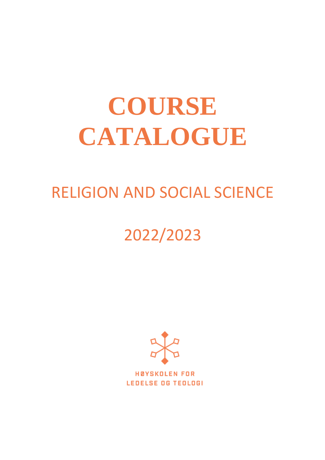# **COURSE CATALOGUE**

# RELIGION AND SOCIAL SCIENCE

# 2022/2023



**HØYSKOLEN FOR LEDELSE OG TEOLOGI**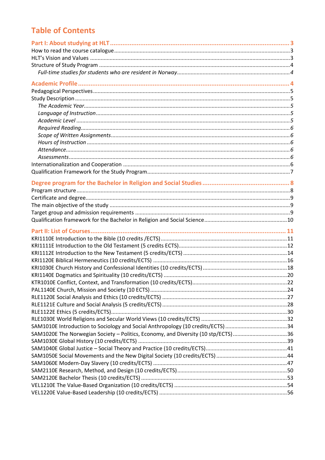# **Table of Contents**

| SAM1020E The Norwegian Society - Politics, Economy, and Diversity (10 stp/ECTS)36 |  |
|-----------------------------------------------------------------------------------|--|
|                                                                                   |  |
|                                                                                   |  |
|                                                                                   |  |
|                                                                                   |  |
|                                                                                   |  |
|                                                                                   |  |
|                                                                                   |  |
|                                                                                   |  |
|                                                                                   |  |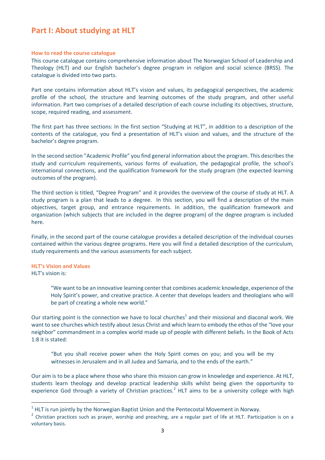# <span id="page-2-0"></span>**Part I: About studying at HLT**

#### <span id="page-2-1"></span>**How to read the course catalogue**

This course catalogue contains comprehensive information about The Norwegian School of Leadership and Theology (HLT) and our English bachelor's degree program in religion and social science (BRSS). The catalogue is divided into two parts.

Part one contains information about HLT's vision and values, its pedagogical perspectives, the academic profile of the school, the structure and learning outcomes of the study program, and other useful information. Part two comprises of a detailed description of each course including its objectives, structure, scope, required reading, and assessment.

The first part has three sections: In the first section "Studying at HLT", in addition to a description of the contents of the catalogue, you find a presentation of HLT's vision and values, and the structure of the bachelor's degree program.

In the second section "Academic Profile" you find general information about the program. This describes the study and curriculum requirements, various forms of evaluation, the pedagogical profile, the school's international connections, and the qualification framework for the study program (the expected learning outcomes of the program).

The third section is titled, "Degree Program" and it provides the overview of the course of study at HLT. A study program is a plan that leads to a degree. In this section, you will find a description of the main objectives, target group, and entrance requirements. In addition, the qualification framework and organization (which subjects that are included in the degree program) of the degree program is included here.

Finally, in the second part of the course catalogue provides a detailed description of the individual courses contained within the various degree programs. Here you will find a detailed description of the curriculum, study requirements and the various assessments for each subject.

# <span id="page-2-2"></span>**HLT's Vision and Values**

HLT's vision is:

"We want to be an innovative learning center that combines academic knowledge, experience of the Holy Spirit's power, and creative practice. A center that develops leaders and theologians who will be part of creating a whole new world."

Our starting point is the connection we have to local churches<sup>1</sup> and their missional and diaconal work. We want to see churches which testify about Jesus Christ and which learn to embody the ethos of the "love your neighbor" commandment in a complex world made up of people with different beliefs. In the Book of Acts 1:8 it is stated:

"But you shall receive power when the Holy Spirit comes on you; and you will be my witnesses in Jerusalem and in all Judea and Samaria, and to the ends of the earth."

Our aim is to be a place where those who share this mission can grow in knowledge and experience. At HLT, students learn theology and develop practical leadership skills whilst being given the opportunity to experience God through a variety of Christian practices.<sup>2</sup> HLT aims to be a university college with high

 $1$  HLT is run jointly by the Norwegian Baptist Union and the Pentecostal Movement in Norway.

 $2$  Christian practices such as prayer, worship and preaching, are a regular part of life at HLT. Participation is on a voluntary basis.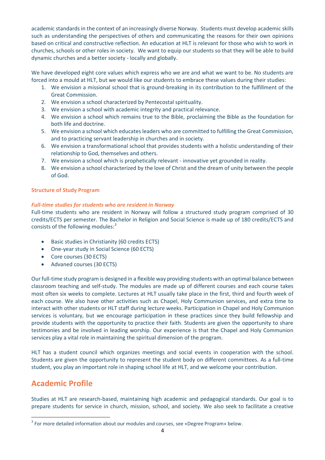academic standards in the context of an increasingly diverse Norway. Students must develop academic skills such as understanding the perspectives of others and communicating the reasons for their own opinions based on critical and constructive reflection. An education at HLT is relevant for those who wish to work in churches, schools or other roles in society. We want to equip our students so that they will be able to build dynamic churches and a better society - locally and globally.

We have developed eight core values which express who we are and what we want to be. No students are forced into a mould at HLT, but we would like our students to embrace these values during their studies:

- 1. We envision a missional school that is ground-breaking in its contribution to the fulfillment of the Great Commission.
- 2. We envision a school characterized by Pentecostal spirituality.
- 3. We envision a school with academic integrity and practical relevance.
- 4. We envision a school which remains true to the Bible, proclaiming the Bible as the foundation for both life and doctrine.
- 5. We envision a school which educates leaders who are committed to fulfilling the Great Commission, and to practicing servant leadership in churches and in society.
- 6. We envision a transformational school that provides students with a holistic understanding of their relationship to God, themselves and others.
- 7. We envision a school which is prophetically relevant innovative yet grounded in reality.
- 8. We envision a school characterized by the love of Christ and the dream of unity between the people of God.

# <span id="page-3-0"></span>**Structure of Study Program**

# <span id="page-3-1"></span>*Full-time studies for students who are resident in Norway*

Full-time students who are resident in Norway will follow a structured study program comprised of 30 credits/ECTS per semester. The Bachelor in Religion and Social Science is made up of 180 credits/ECTS and consists of the following modules:<sup>3</sup>

- Basic studies in Christianity (60 credits ECTS)
- One-year study in Social Science (60 ECTS)
- Core courses (30 ECTS)
- Advaned courses (30 ECTS)

Our full-time study program is designed in a flexible way providing students with an optimal balance between classroom teaching and self-study. The modules are made up of different courses and each course takes most often six weeks to complete. Lectures at HLT usually take place in the first, third and fourth week of each course. We also have other activities such as Chapel, Holy Communion services, and extra time to interact with other students or HLT staff during lecture weeks. Participation in Chapel and Holy Communion services is voluntary, but we encourage participation in these practices since they build fellowship and provide students with the opportunity to practice their faith. Students are given the opportunity to share testimonies and be involved in leading worship. Our experience is that the Chapel and Holy Communion services play a vital role in maintaining the spiritual dimension of the program.

HLT has a student council which organizes meetings and social events in cooperation with the school. Students are given the opportunity to represent the student body on different committees. As a full-time student, you play an important role in shaping school life at HLT, and we welcome your contribution.

# <span id="page-3-2"></span>**Academic Profile**

Studies at HLT are research-based, maintaining high academic and pedagogical standards. Our goal is to prepare students for service in church, mission, school, and society. We also seek to facilitate a creative

 $3$  For more detailed information about our modules and courses, see «Degree Program» below.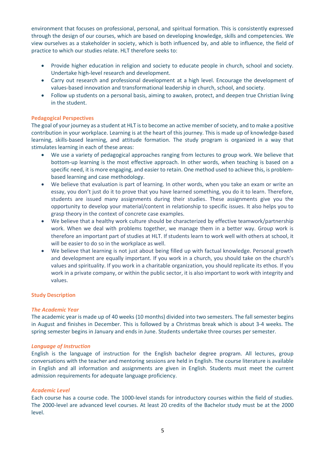environment that focuses on professional, personal, and spiritual formation. This is consistently expressed through the design of our courses, which are based on developing knowledge, skills and competencies. We view ourselves as a stakeholder in society, which is both influenced by, and able to influence, the field of practice to which our studies relate. HLT therefore seeks to:

- Provide higher education in religion and society to educate people in church, school and society. Undertake high-level research and development.
- Carry out research and professional development at a high level. Encourage the development of values-based innovation and transformational leadership in church, school, and society.
- Follow up students on a personal basis, aiming to awaken, protect, and deepen true Christian living in the student.

# <span id="page-4-0"></span>**Pedagogical Perspectives**

The goal of your journey as a student at HLT is to become an active member of society, and to make a positive contribution in your workplace. Learning is at the heart of this journey. This is made up of knowledge-based learning, skills-based learning, and attitude formation. The study program is organized in a way that stimulates learning in each of these areas:

- We use a variety of pedagogical approaches ranging from lectures to group work. We believe that bottom-up learning is the most effective approach. In other words, when teaching is based on a specific need, it is more engaging, and easier to retain. One method used to achieve this, is problembased learning and case methodology.
- We believe that evaluation is part of learning. In other words, when you take an exam or write an essay, you don't just do it to prove that you have learned something, you do it to learn. Therefore, students are issued many assignments during their studies. These assignments give you the opportunity to develop your material/content in relationship to specific issues. It also helps you to grasp theory in the context of concrete case examples.
- We believe that a healthy work culture should be characterized by effective teamwork/partnership work. When we deal with problems together, we manage them in a better way. Group work is therefore an important part of studies at HLT. If students learn to work well with others at school, it will be easier to do so in the workplace as well.
- We believe that learning is not just about being filled up with factual knowledge. Personal growth and development are equally important. If you work in a church, you should take on the church's values and spirituality. If you work in a charitable organization, you should replicate its ethos. If you work in a private company, or within the public sector, it is also important to work with integrity and values.

# <span id="page-4-1"></span>**Study Description**

# <span id="page-4-2"></span>*The Academic Year*

The academic year is made up of 40 weeks (10 months) divided into two semesters. The fall semester begins in August and finishes in December. This is followed by a Christmas break which is about 3-4 weeks. The spring semester begins in January and ends in June. Students undertake three courses per semester.

# <span id="page-4-3"></span>*Language of Instruction*

English is the language of instruction for the English bachelor degree program. All lectures, group conversations with the teacher and mentoring sessions are held in English. The course literature is available in English and all information and assignments are given in English. Students must meet the current admission requirements for adequate language proficiency.

# <span id="page-4-4"></span>*Academic Level*

Each course has a course code. The 1000-level stands for introductory courses within the field of studies. The 2000-level are advanced level courses. At least 20 credits of the Bachelor study must be at the 2000 level.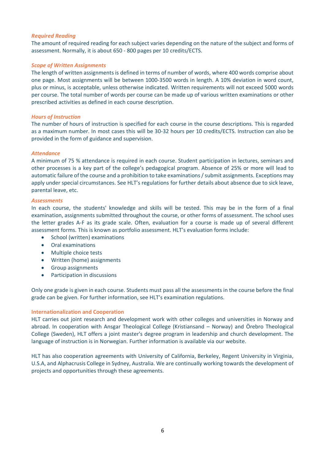# <span id="page-5-0"></span>*Required Reading*

The amount of required reading for each subject varies depending on the nature of the subject and forms of assessment. Normally, it is about 650 - 800 pages per 10 credits/ECTS.

#### <span id="page-5-1"></span>*Scope of Written Assignments*

The length of written assignments is defined in terms of number of words, where 400 words comprise about one page. Most assignments will be between 1000-3500 words in length. A 10% deviation in word count, plus or minus, is acceptable, unless otherwise indicated. Written requirements will not exceed 5000 words per course. The total number of words per course can be made up of various written examinations or other prescribed activities as defined in each course description.

#### <span id="page-5-2"></span>*Hours of Instruction*

The number of hours of instruction is specified for each course in the course descriptions. This is regarded as a maximum number. In most cases this will be 30-32 hours per 10 credits/ECTS. Instruction can also be provided in the form of guidance and supervision.

#### <span id="page-5-3"></span>*Attendance*

A minimum of 75 % attendance is required in each course. Student participation in lectures, seminars and other processes is a key part of the college's pedagogical program. Absence of 25% or more will lead to automatic failure of the course and a prohibition to take examinations / submit assignments. Exceptions may apply under special circumstances. See HLT's regulations for further details about absence due to sick leave, parental leave, etc.

#### <span id="page-5-4"></span>*Assessments*

In each course, the students' knowledge and skills will be tested. This may be in the form of a final examination, assignments submitted throughout the course, or other forms of assessment. The school uses the letter grades A-F as its grade scale. Often, evaluation for a course is made up of several different assessment forms. This is known as portfolio assessment. HLT's evaluation forms include:

- School (written) examinations
- Oral examinations
- Multiple choice tests
- Written (home) assignments
- Group assignments
- Participation in discussions

Only one grade is given in each course. Students must pass all the assessments in the course before the final grade can be given. For further information, see HLT's examination regulations.

# <span id="page-5-5"></span>**Internationalization and Cooperation**

HLT carries out joint research and development work with other colleges and universities in Norway and abroad. In cooperation with Ansgar Theological College (Kristiansand – Norway) and Örebro Theological College (Sweden), HLT offers a joint master's degree program in leadership and church development. The language of instruction is in Norwegian. Further information is available via our website.

HLT has also cooperation agreements with University of California, Berkeley, Regent University in Virginia, U.S.A, and Alphacrusis College in Sydney, Australia. We are continually working towards the development of projects and opportunities through these agreements.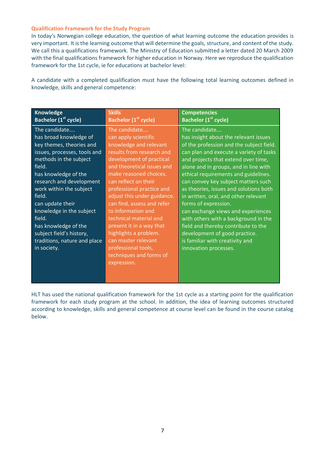#### <span id="page-6-0"></span>**Qualification Framework for the Study Program**

In today's Norwegian college education, the question of what learning outcome the education provides is very important. It is the learning outcome that will determine the goals, structure, and content of the study. We call this a qualifications framework. The Ministry of Education submitted a letter dated 20 March 2009 with the final qualifications framework for higher education in Norway. Here we reproduce the qualification framework for the 1st cycle, ie for educations at bachelor level:

A candidate with a completed qualification must have the following total learning outcomes defined in knowledge, skills and general competence:

| <b>Knowledge</b><br><b>Bachelor (1st cycle)</b>                                                                                                                                                                                                                                                                                                                                               | <b>Skills</b><br>Bachelor (1 <sup>st</sup> cycle)                                                                                                                                                                                                                                                                                                                                                                                                                                               | <b>Competencies</b><br>Bachelor (1 <sup>st</sup> cycle)                                                                                                                                                                                                                                                                                                                                                                                                                                                                                                                                                                                  |
|-----------------------------------------------------------------------------------------------------------------------------------------------------------------------------------------------------------------------------------------------------------------------------------------------------------------------------------------------------------------------------------------------|-------------------------------------------------------------------------------------------------------------------------------------------------------------------------------------------------------------------------------------------------------------------------------------------------------------------------------------------------------------------------------------------------------------------------------------------------------------------------------------------------|------------------------------------------------------------------------------------------------------------------------------------------------------------------------------------------------------------------------------------------------------------------------------------------------------------------------------------------------------------------------------------------------------------------------------------------------------------------------------------------------------------------------------------------------------------------------------------------------------------------------------------------|
| The candidate<br>has broad knowledge of<br>key themes, theories and<br>issues, processes, tools and<br>methods in the subject<br>field.<br>has knowledge of the<br>research and development<br>work within the subject<br>field.<br>can update their<br>knowledge in the subject<br>field.<br>has knowledge of the<br>subject field's history,<br>traditions, nature and place<br>in society. | The candidate<br>can apply scientific<br>knowledge and relevant<br>results from research and<br>development of practical<br>and theoretical issues and<br>make reasoned choices.<br>can reflect on their<br>professional practice and<br>adjust this under guidance.<br>can find, assess and refer<br>to information and<br>technical material and<br>present it in a way that<br>highlights a problem.<br>can master relevant<br>professional tools,<br>techniques and forms of<br>expression. | The candidate<br>has insight about the relevant issues<br>of the profession and the subject field.<br>can plan and execute a variety of tasks<br>and projects that extend over time,<br>alone and in groups, and in line with<br>ethical requirements and guidelines.<br>can convey key subject matters such<br>as theories, issues and solutions both<br>in written, oral, and other relevant<br>forms of expression.<br>can exchange views and experiences<br>with others with a background in the<br>field and thereby contribute to the<br>development of good practice.<br>is familiar with creativity and<br>innovation processes. |
|                                                                                                                                                                                                                                                                                                                                                                                               |                                                                                                                                                                                                                                                                                                                                                                                                                                                                                                 |                                                                                                                                                                                                                                                                                                                                                                                                                                                                                                                                                                                                                                          |

HLT has used the national qualification framework for the 1st cycle as a starting point for the qualification framework for each study program at the school. In addition, the idea of learning outcomes structured according to knowledge, skills and general competence at course level can be found in the course catalog below.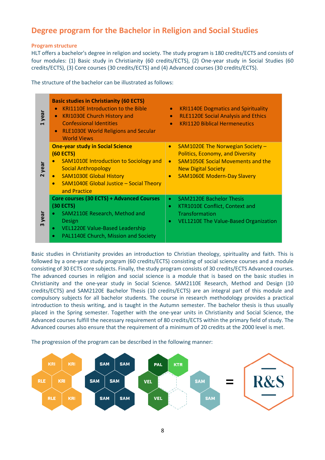# <span id="page-7-0"></span>**Degree program for the Bachelor in Religion and Social Studies**

# <span id="page-7-1"></span>**Program structure**

HLT offers a bachelor's degree in religion and society. The study program is 180 credits/ECTS and consists of four modules: (1) Basic study in Christianity (60 credits/ECTS), (2) One-year study in Social Studies (60 credits/ECTS), (3) Core courses (30 credits/ECTS) and (4) Advanced courses (30 credits/ECTS).

The structure of the bachelor can be illustrated as follows:

| year | <b>Basic studies in Christianity (60 ECTS)</b><br><b>KRI1110E Introduction to the Bible</b><br><b>KRI1030E Church History and</b><br><b>Confessional Identities</b><br><b>RLE1030E World Religions and Secular</b><br><b>World Views</b>  | <b>KRI1140E Dogmatics and Spirituality</b><br>$\bullet$<br><b>RLE1120E Social Analysis and Ethics</b><br>$\bullet$<br><b>KRI1120 Biblical Hermeneutics</b>                                                                         |
|------|-------------------------------------------------------------------------------------------------------------------------------------------------------------------------------------------------------------------------------------------|------------------------------------------------------------------------------------------------------------------------------------------------------------------------------------------------------------------------------------|
| year | <b>One-year study in Social Science</b><br>$(60$ ECTS)<br><b>SAM1010E Introduction to Sociology and</b><br><b>Social Anthropology</b><br><b>SAM1030E Global History</b><br><b>SAM1040E Global Justice - Social Theory</b><br>and Practice | SAM1020E The Norwegian Society -<br>$\bullet$<br><b>Politics, Economy, and Diversity</b><br><b>SAM1050E Social Movements and the</b><br>$\bullet$<br><b>New Digital Society</b><br><b>SAM1060E Modern-Day Slavery</b><br>$\bullet$ |
| year | Core courses (30 ECTS) + Advanced Courses<br>(30 ECTS)<br>SAM2110E Research, Method and<br>Design<br><b>VEL1220E Value-Based Leadership</b><br>$\bullet$<br>PAL1140E Church, Mission and Society<br>$\bullet$                             | <b>SAM2120E Bachelor Thesis</b><br>$\bullet$<br>KTR1010E Conflict, Context and<br>$\bullet$<br>Transformation<br>VEL1210E The Value-Based Organization<br>$\bullet$                                                                |

Basic studies in Christianity provides an introduction to Christian theology, spirituality and faith. This is followed by a one-year study program (60 credits/ECTS) consisting of social science courses and a module consisting of 30 ECTS core subjects. Finally, the study program consists of 30 credits/ECTS Advanced courses. The advanced courses in religion and social science is a module that is based on the basic studies in Christianity and the one-year study in Social Science. SAM2110E Research, Method and Design (10 credits/ECTS) and SAM2120E Bachelor Thesis (10 credits/ECTS) are an integral part of this module and compulsory subjects for all bachelor students. The course in research methodology provides a practical introduction to thesis writing, and is taught in the Autumn semester. The bachelor thesis is thus usually placed in the Spring semester. Together with the one-year units in Christianity and Social Science, the Advanced courses fulfill the necessary requirement of 80 credits/ECTS within the primary field of study. The Advanced courses also ensure that the requirement of a minimum of 20 credits at the 2000 level is met.

The progression of the program can be described in the following manner:

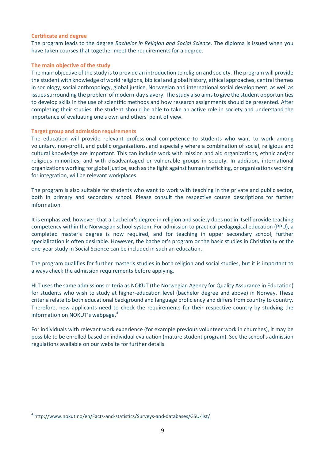#### <span id="page-8-0"></span>**Certificate and degree**

The program leads to the degree *Bachelor in Religion and Social Science*. The diploma is issued when you have taken courses that together meet the requirements for a degree.

# <span id="page-8-1"></span>**The main objective of the study**

The main objective of the study is to provide an introduction to religion and society. The program will provide the student with knowledge of world religions, biblical and global history, ethical approaches, central themes in sociology, social anthropology, global justice, Norwegian and international social development, as well as issues surrounding the problem of modern-day slavery. The study also aims to give the student opportunities to develop skills in the use of scientific methods and how research assignments should be presented. After completing their studies, the student should be able to take an active role in society and understand the importance of evaluating one's own and others' point of view.

# <span id="page-8-2"></span>**Target group and admission requirements**

The education will provide relevant professional competence to students who want to work among voluntary, non-profit, and public organizations, and especially where a combination of social, religious and cultural knowledge are important. This can include work with mission and aid organizations, ethnic and/or religious minorities, and with disadvantaged or vulnerable groups in society. In addition, international organizations working for global justice, such as the fight against human trafficking, or organizations working for integration, will be relevant workplaces.

The program is also suitable for students who want to work with teaching in the private and public sector, both in primary and secondary school. Please consult the respective course descriptions for further information.

It is emphasized, however, that a bachelor's degree in religion and society does not in itself provide teaching competency within the Norwegian school system. For admission to practical pedagogical education (PPU), a completed master's degree is now required, and for teaching in upper secondary school, further specialization is often desirable. However, the bachelor's program or the basic studies in Christianity or the one-year study in Social Science can be included in such an education.

The program qualifies for further master's studies in both religion and social studies, but it is important to always check the admission requirements before applying.

HLT uses the same admissions criteria as NOKUT (the Norwegian Agency for Quality Assurance in Education) for students who wish to study at higher-education level (bachelor degree and above) in Norway. These criteria relate to both educational background and language proficiency and differs from country to country. Therefore, new applicants need to check the requirements for their respective country by studying the information on NOKUT's webpage.<sup>4</sup>

For individuals with relevant work experience (for example previous volunteer work in churches), it may be possible to be enrolled based on individual evaluation (mature student program). See the school's admission regulations available on our website for further details.

<sup>4</sup> <http://www.nokut.no/en/Facts-and-statistics/Surveys-and-databases/GSU-list/>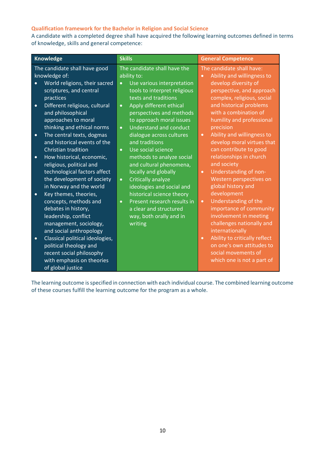# <span id="page-9-0"></span>**Qualification framework for the Bachelor in Religion and Social Science**

A candidate with a completed degree shall have acquired the following learning outcomes defined in terms of knowledge, skills and general competence:

The learning outcome is specified in connection with each individual course. The combined learning outcome of these courses fulfill the learning outcome for the program as a whole.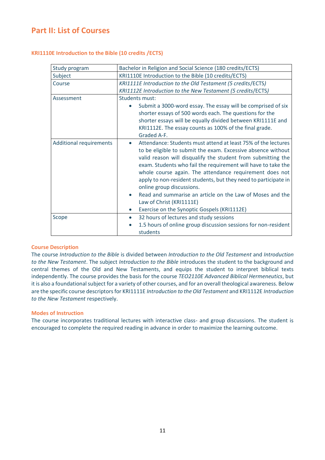# <span id="page-10-0"></span>**Part II: List of Courses**

<span id="page-10-1"></span>

|  | <b>KRI1110E Introduction to the Bible (10 credits /ECTS)</b> |  |  |  |  |  |  |
|--|--------------------------------------------------------------|--|--|--|--|--|--|
|--|--------------------------------------------------------------|--|--|--|--|--|--|

| Study program                  | Bachelor in Religion and Social Science (180 credits/ECTS)                                                                                                                                                                                                                                                                                                                                                                                                                                                                                                                                  |  |  |
|--------------------------------|---------------------------------------------------------------------------------------------------------------------------------------------------------------------------------------------------------------------------------------------------------------------------------------------------------------------------------------------------------------------------------------------------------------------------------------------------------------------------------------------------------------------------------------------------------------------------------------------|--|--|
| Subject                        | KRI1110E Introduction to the Bible (10 credits/ECTS)                                                                                                                                                                                                                                                                                                                                                                                                                                                                                                                                        |  |  |
| Course                         | KRI1111E Introduction to the Old Testament (5 credits/ECTS)                                                                                                                                                                                                                                                                                                                                                                                                                                                                                                                                 |  |  |
|                                | KRI1112E Introduction to the New Testament (5 credits/ECTS)                                                                                                                                                                                                                                                                                                                                                                                                                                                                                                                                 |  |  |
| Assessment                     | Students must:                                                                                                                                                                                                                                                                                                                                                                                                                                                                                                                                                                              |  |  |
|                                | Submit a 3000-word essay. The essay will be comprised of six                                                                                                                                                                                                                                                                                                                                                                                                                                                                                                                                |  |  |
|                                | shorter essays of 500 words each. The questions for the                                                                                                                                                                                                                                                                                                                                                                                                                                                                                                                                     |  |  |
|                                | shorter essays will be equally divided between KRI1111E and                                                                                                                                                                                                                                                                                                                                                                                                                                                                                                                                 |  |  |
|                                | KRI1112E. The essay counts as 100% of the final grade.                                                                                                                                                                                                                                                                                                                                                                                                                                                                                                                                      |  |  |
|                                | Graded A-F.                                                                                                                                                                                                                                                                                                                                                                                                                                                                                                                                                                                 |  |  |
| <b>Additional requirements</b> | Attendance: Students must attend at least 75% of the lectures<br>$\bullet$<br>to be eligible to submit the exam. Excessive absence without<br>valid reason will disqualify the student from submitting the<br>exam. Students who fail the requirement will have to take the<br>whole course again. The attendance requirement does not<br>apply to non-resident students, but they need to participate in<br>online group discussions.<br>Read and summarise an article on the Law of Moses and the<br>Law of Christ (KRI1111E)<br>Exercise on the Synoptic Gospels (KRI1112E)<br>$\bullet$ |  |  |
| Scope                          | 32 hours of lectures and study sessions<br>$\bullet$<br>1.5 hours of online group discussion sessions for non-resident                                                                                                                                                                                                                                                                                                                                                                                                                                                                      |  |  |
|                                | students                                                                                                                                                                                                                                                                                                                                                                                                                                                                                                                                                                                    |  |  |

# **Course Description**

The course *Introduction to the Bible* is divided between *Introduction to the Old Testament* and *Introduction to the New Testament*. The subject *Introduction to the Bible* introduces the student to the background and central themes of the Old and New Testaments, and equips the student to interpret biblical texts independently. The course provides the basis for the course *TEO2110E Advanced Biblical Hermeneutics*, but it is also a foundational subject for a variety of other courses, and for an overall theological awareness. Below are the specific course descriptors for KRI1111E *Introduction to the Old Testament* and KRI1112E *Introduction to the New Testament* respectively.

#### **Modes of Instruction**

The course incorporates traditional lectures with interactive class- and group discussions. The student is encouraged to complete the required reading in advance in order to maximize the learning outcome.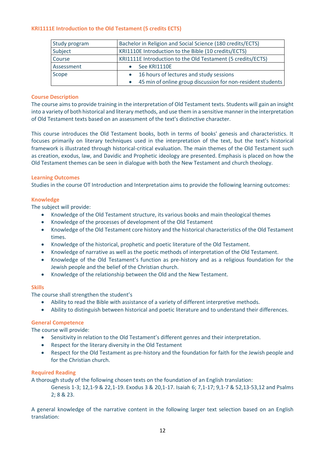# <span id="page-11-0"></span>**KRI1111E Introduction to the Old Testament (5 credits ECTS)**

| Study program | Bachelor in Religion and Social Science (180 credits/ECTS)  |  |  |
|---------------|-------------------------------------------------------------|--|--|
| Subject       | KRI1110E Introduction to the Bible (10 credits/ECTS)        |  |  |
| Course        | KRI1111E Introduction to the Old Testament (5 credits/ECTS) |  |  |
| Assessment    | See KRI1110E                                                |  |  |
| Scope         | • 16 hours of lectures and study sessions                   |  |  |
|               | 45 min of online group discussion for non-resident students |  |  |

# **Course Description**

The course aims to provide training in the interpretation of Old Testament texts. Students will gain an insight into a variety of both historical and literary methods, and use them in a sensitive manner in the interpretation of Old Testament texts based on an assessment of the text's distinctive character.

This course introduces the Old Testament books, both in terms of books' genesis and characteristics. It focuses primarily on literary techniques used in the interpretation of the text, but the text's historical framework is illustrated through historical-critical evaluation. The main themes of the Old Testament such as creation, exodus, law, and Davidic and Prophetic ideology are presented. Emphasis is placed on how the Old Testament themes can be seen in dialogue with both the New Testament and church theology.

# **Learning Outcomes**

Studies in the course OT Introduction and Interpretation aims to provide the following learning outcomes:

# **Knowledge**

The subject will provide:

- Knowledge of the Old Testament structure, its various books and main theological themes
- Knowledge of the processes of development of the Old Testament
- Knowledge of the Old Testament core history and the historical characteristics of the Old Testament times.
- Knowledge of the historical, prophetic and poetic literature of the Old Testament.
- Knowledge of narrative as well as the poetic methods of interpretation of the Old Testament.
- Knowledge of the Old Testament's function as pre-history and as a religious foundation for the Jewish people and the belief of the Christian church.
- Knowledge of the relationship between the Old and the New Testament.

# **Skills**

The course shall strengthen the student's

- Ability to read the Bible with assistance of a variety of different interpretive methods.
- Ability to distinguish between historical and poetic literature and to understand their differences.

# **General Competence**

The course will provide:

- Sensitivity in relation to the Old Testament's different genres and their interpretation.
- Respect for the literary diversity in the Old Testament
- Respect for the Old Testament as pre-history and the foundation for faith for the Jewish people and for the Christian church.

# **Required Reading**

A thorough study of the following chosen texts on the foundation of an English translation:

Genesis 1-3; 12,1-9 & 22,1-19. Exodus 3 & 20,1-17. Isaiah 6; 7,1-17; 9,1-7 & 52,13-53,12 and Psalms 2; 8 & 23.

A general knowledge of the narrative content in the following larger text selection based on an English translation: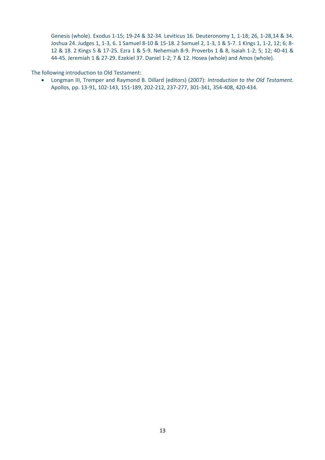Genesis (whole). Exodus 1-15; 19-24 & 32-34. Leviticus 16. Deuteronomy 1, 1-18; 26, 1-28,14 & 34. Joshua 24. Judges 1, 1-3, 6. 1 Samuel 8-10 & 15-18. 2 Samuel 2, 1-3, 1 & 5-7. 1 Kings 1, 1-2, 12; 6; 8- 12 & 18. 2 Kings 5 & 17-25. Ezra 1 & 5-9. Nehemiah 8-9. Proverbs 1 & 8, Isaiah 1-2; 5; 12; 40-41 & 44-45. Jeremiah 1 & 27-29. Ezekiel 37. Daniel 1-2; 7 & 12. Hosea (whole) and Amos (whole).

The following introduction to Old Testament:

• Longman III, Tremper and Raymond B. Dillard (editors) (2007): *Introduction to the Old Testament.* Apollos, pp. 13-91, 102-143, 151-189, 202-212, 237-277, 301-341, 354-408, 420-434.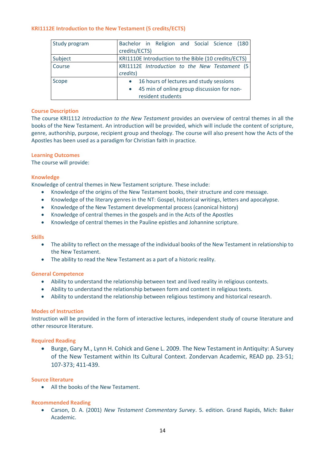#### <span id="page-13-0"></span>**KRI1112E Introduction to the New Testament (5 credits/ECTS)**

| Study program | Bachelor in Religion and Social Science (180<br>credits/ECTS)                                                                        |
|---------------|--------------------------------------------------------------------------------------------------------------------------------------|
| Subject       | KRI1110E Introduction to the Bible (10 credits/ECTS)                                                                                 |
| Course        | KRI1112E Introduction to the New Testament (5)<br>credits)                                                                           |
| Scope         | 16 hours of lectures and study sessions<br>$\bullet$<br>45 min of online group discussion for non-<br>$\bullet$<br>resident students |

#### **Course Description**

The course KRI1112 *Introduction to the New Testament* provides an overview of central themes in all the books of the New Testament. An introduction will be provided, which will include the content of scripture, genre, authorship, purpose, recipient group and theology. The course will also present how the Acts of the Apostles has been used as a paradigm for Christian faith in practice.

#### **Learning Outcomes**

The course will provide:

#### **Knowledge**

Knowledge of central themes in New Testament scripture. These include:

- Knowledge of the origins of the New Testament books, their structure and core message.
- Knowledge of the literary genres in the NT: Gospel, historical writings, letters and apocalypse.
- Knowledge of the New Testament developmental process (canonical history)
- Knowledge of central themes in the gospels and in the Acts of the Apostles
- Knowledge of central themes in the Pauline epistles and Johannine scripture.

#### **Skills**

- The ability to reflect on the message of the individual books of the New Testament in relationship to the New Testament.
- The ability to read the New Testament as a part of a historic reality.

#### **General Competence**

- Ability to understand the relationship between text and lived reality in religious contexts.
- Ability to understand the relationship between form and content in religious texts.
- Ability to understand the relationship between religious testimony and historical research.

#### **Modes of Instruction**

Instruction will be provided in the form of interactive lectures, independent study of course literature and other resource literature.

# **Required Reading**

• Burge, Gary M., Lynn H. Cohick and Gene L. 2009. The New Testament in Antiquity: A Survey of the New Testament within Its Cultural Context. Zondervan Academic, READ pp. 23-51; 107-373; 411-439.

#### **Source literature**

• All the books of the New Testament.

# **Recommended Reading**

• Carson, D. A. (2001) *New Testament Commentary Survey*. 5. edition. Grand Rapids, Mich: Baker Academic.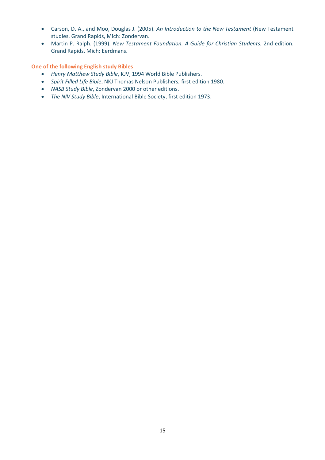- Carson, D. A., and Moo, Douglas J. (2005). *An Introduction to the New Testament* (New Testament studies. Grand Rapids, Mich: Zondervan.
- Martin P. Ralph. (1999). *New Testament Foundation. A Guide for Christian Students.* 2nd edition. Grand Rapids, Mich: Eerdmans.

**One of the following English study Bibles**

- *Henry Matthew Study Bible*, KJV, 1994 World Bible Publishers.
- *Spirit Filled Life Bible*, NKJ Thomas Nelson Publishers, first edition 1980.
- *NASB Study Bible*, Zondervan 2000 or other editions.
- *The NIV Study Bible*, International Bible Society, first edition 1973.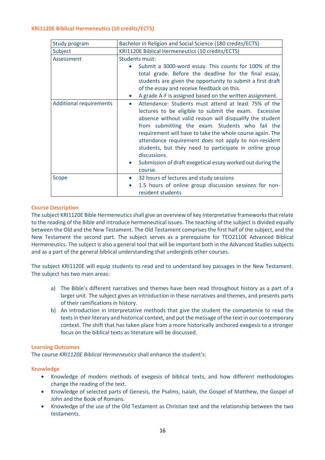# <span id="page-15-0"></span>**KRI1120E Biblical Hermeneutics (10 credits/ECTS)**

| Study program                  | Bachelor in Religion and Social Science (180 credits/ECTS)                                                                                                                                                                                                                                                                                                                                                                                                                                                                      |  |  |
|--------------------------------|---------------------------------------------------------------------------------------------------------------------------------------------------------------------------------------------------------------------------------------------------------------------------------------------------------------------------------------------------------------------------------------------------------------------------------------------------------------------------------------------------------------------------------|--|--|
| Subject                        | KRI1120E Biblical Hermeneutics (10 credits/ECTS)                                                                                                                                                                                                                                                                                                                                                                                                                                                                                |  |  |
| Assessment                     | Students must:                                                                                                                                                                                                                                                                                                                                                                                                                                                                                                                  |  |  |
|                                | Submit a 3000-word essay. This counts for 100% of the<br>total grade. Before the deadline for the final essay,<br>students are given the opportunity to submit a first draft<br>of the essay and receive feedback on this.                                                                                                                                                                                                                                                                                                      |  |  |
|                                | A grade A-F is assigned based on the written assignment.                                                                                                                                                                                                                                                                                                                                                                                                                                                                        |  |  |
| <b>Additional requirements</b> | Attendance: Students must attend at least 75% of the<br>$\bullet$<br>lectures to be eligible to submit the exam. Excessive<br>absence without valid reason will disqualify the student<br>from submitting the exam. Students who fail the<br>requirement will have to take the whole course again. The<br>attendance requirement does not apply to non-resident<br>students, but they need to participate in online group<br>discussions.<br>Submission of draft exegetical essay worked out during the<br>$\bullet$<br>course. |  |  |
| Scope                          | 32 hours of lectures and study sessions<br>$\bullet$<br>1.5 hours of online group discussion sessions for non-<br>$\bullet$<br>resident students                                                                                                                                                                                                                                                                                                                                                                                |  |  |

# **Course Description**

The subject KRI1120E Bible Hermeneutics shall give an overview of key interpretative frameworks that relate to the reading of the Bible and introduce hermeneutical issues. The teaching of the subject is divided equally between the Old and the New Testament. The Old Testament comprises the first half of the subject, and the New Testament the second part. The subject serves as a prerequisite for TEO2110E Advanced Biblical Hermeneutics. The subject is also a general tool that will be important both in the Advanced Studies subjects and as a part of the general biblical understanding that undergirds other courses.

The subject KRI1120E will equip students to read and to understand key passages in the New Testament. The subject has two main areas:

- a) The Bible's different narratives and themes have been read throughout history as a part of a larger unit. The subject gives an introduction in these narratives and themes, and presents parts of their ramifications in history.
- b) An introduction in interpretative methods that give the student the competence to read the texts in their literary and historical context, and put the message of the text in our contemporary context. The shift that has taken place from a more historically anchored exegesis to a stronger focus on the biblical texts as literature will be discussed.

# **Learning Outcomes**

The course *KRI1120E Biblical Hermeneutics* shall enhance the student's:

# **Knowledge**

- Knowledge of modern methods of exegesis of biblical texts, and how different methodologies change the reading of the text.
- Knowledge of selected parts of Genesis, the Psalms, Isaiah, the Gospel of Matthew, the Gospel of John and the Book of Romans.
- Knowledge of the use of the Old Testament as Christian text and the relationship between the two testaments.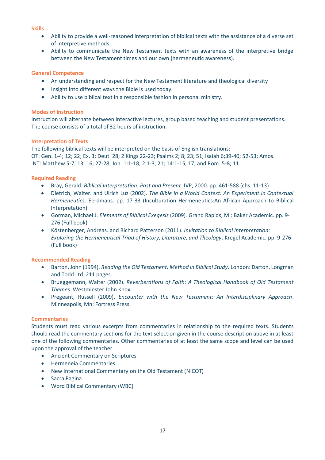# **Skills**

- Ability to provide a well-reasoned interpretation of biblical texts with the assistance of a diverse set of interpretive methods.
- Ability to communicate the New Testament texts with an awareness of the interpretive bridge between the New Testament times and our own (hermeneutic awareness).

# **General Competence**

- An understanding and respect for the New Testament literature and theological diversity
- Insight into different ways the Bible is used today.
- Ability to use biblical text in a responsible fashion in personal ministry.

# **Modes of Instruction**

Instruction will alternate between interactive lectures, group based teaching and student presentations. The course consists of a total of 32 hours of instruction.

# **Interpretation of Texts**

The following biblical texts will be interpreted on the basis of English translations: OT: Gen. 1-4; 12; 22; Ex. 3; Deut. 28; 2 Kings 22-23; Psalms 2; 8; 23; 51; Isaiah 6;39-40; 52-53; Amos. NT: Matthew 5-7; 13; 16; 27-28; Joh. 1:1-18; 2:1-3, 21; 14:1-15, 17; and Rom. 5-8; 11.

# **Required Reading**

- Bray, Gerald. *Biblical Interpretation: Past and Present*. IVP, 2000. pp. 461-588 (chs. 11-13)
- Dietrich, Walter. and Ulrich Luz (2002)*. The Bible in a World Context: An Experiment in Contextual Hermeneutics*. Eerdmans. pp. 17-33 (Inculturation Hermeneutics:An African Approach to Biblical Interpretation)
- Gorman, Michael J. *Elements of Biblical Exegesis* (2009)*.* Grand Rapids, MI: Baker Academic. pp. 9- 276 (Full book)
- Köstenberger, Andreas. and Richard Patterson (2011). *Invitation to Biblical Interpretation: Exploring the Hermeneutical Triad of History, Literature, and Theology*. Kregel Academic. pp. 9-276 (Full book)

# **Recommended Reading**

- Barton, John (1994). *Reading the Old Testament. Method in Biblical Study.* London: Darton, Longman and Todd Ltd. 211 pages.
- Brueggemann, Walter (2002). *Reverberations of Faith: A Theological Handbook of Old Testament Themes*. Westminster John Knox.
- Pregeant, Russell (2009). *Encounter with the New Testament: An Interdisciplinary Approach*. Minneapolis, Mn: Fortress Press.

# **Commentaries**

Students must read various excerpts from commentaries in relationship to the required texts. Students should read the commentary sections for the text selection given in the course description above in at least one of the following commentaries. Other commentaries of at least the same scope and level can be used upon the approval of the teacher.

- Ancient Commentary on Scriptures
- Hermeneia Commentaries
- New International Commentary on the Old Testament (NICOT)
- Sacra Pagina
- Word Biblical Commentary (WBC)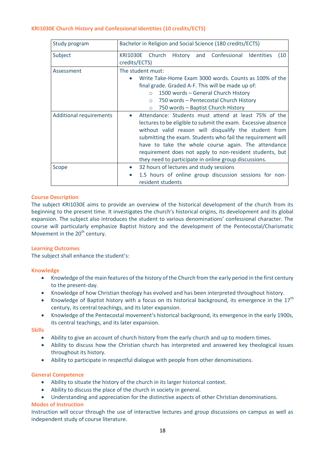# <span id="page-17-0"></span>**KRI1030E Church History and Confessional Identities (10 credits/ECTS)**

| Study program                  | Bachelor in Religion and Social Science (180 credits/ECTS)                                                                                                                                                                                                                                                                                                                                                                |  |  |  |  |
|--------------------------------|---------------------------------------------------------------------------------------------------------------------------------------------------------------------------------------------------------------------------------------------------------------------------------------------------------------------------------------------------------------------------------------------------------------------------|--|--|--|--|
| Subject                        | Church<br>and Confessional Identities<br><b>KRI1030E</b><br>History<br>(10)<br>credits/ECTS)                                                                                                                                                                                                                                                                                                                              |  |  |  |  |
| Assessment                     | The student must:<br>Write Take-Home Exam 3000 words. Counts as 100% of the<br>final grade. Graded A-F. This will be made up of:<br>1500 words - General Church History<br>$\circ$<br>750 words - Pentecostal Church History<br>$\circ$<br>750 words - Baptist Church History<br>$\circ$                                                                                                                                  |  |  |  |  |
| <b>Additional requirements</b> | Attendance: Students must attend at least 75% of the<br>lectures to be eligible to submit the exam. Excessive absence<br>without valid reason will disqualify the student from<br>submitting the exam. Students who fail the requirement will<br>have to take the whole course again. The attendance<br>requirement does not apply to non-resident students, but<br>they need to participate in online group discussions. |  |  |  |  |
| Scope                          | 32 hours of lectures and study sessions<br>1.5 hours of online group discussion sessions for non-<br>resident students                                                                                                                                                                                                                                                                                                    |  |  |  |  |

# **Course Description**

The subject KRI1030E aims to provide an overview of the historical development of the church from its beginning to the present time. It investigates the church's historical origins, its development and its global expansion. The subject also introduces the student to various denominations' confessional character. The course will particularly emphasize Baptist history and the development of the Pentecostal/Charismatic Movement in the  $20<sup>th</sup>$  century.

#### **Learning Outcomes**

The subject shall enhance the student's:

#### **Knowledge**

- Knowledge of the main features of the history of the Church from the early period in the first century to the present-day.
- Knowledge of how Christian theology has evolved and has been interpreted throughout history.
- Knowledge of Baptist history with a focus on its historical background, its emergence in the  $17<sup>th</sup>$ century, its central teachings, and its later expansion.
- Knowledge of the Pentecostal movement's historical background, its emergence in the early 1900s, its central teachings, and its later expansion.

**Skills**

- Ability to give an account of church history from the early church and up to modern times.
- Ability to discuss how the Christian church has interpreted and answered key theological issues throughout its history.
- Ability to participate in respectful dialogue with people from other denominations.

#### **General Competence**

- Ability to situate the history of the church in its larger historical context.
- Ability to discuss the place of the church in society in general.
- Understanding and appreciation for the distinctive aspects of other Christian denominations.

# **Modes of Instruction**

Instruction will occur through the use of interactive lectures and group discussions on campus as well as independent study of course literature.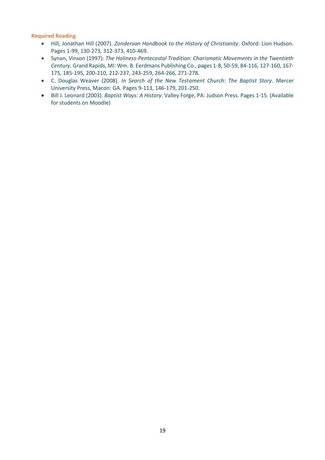# **Required Reading**

- Hill, Jonathan Hill (2007). *Zondervan Handbook to the History of Christianity*. Oxford: Lion Hudson. Pages 1-99, 130-273, 312-373, 410-469.
- Synan, Vinson (1997): *The Holiness-Pentecostal Tradition: Charismatic Movements in the Twentieth Century.* Grand Rapids, MI: Wm. B. Eerdmans Publishing Co., pages 1-8, 50-59, 84-116, 127-160, 167- 175, 185-195, 200-210, 212-237, 243-259, 264-266, 271-278.
- C. Douglas Weaver (2008). *In Search of the New Testament Church: The Baptist Story*. Mercer University Press, Macon: GA. Pages 9-113, 146-179, 201-250.
- Bill J. Leonard (2003). *Baptist Ways: A History*. Valley Forge, PA: Judson Press. Pages 1-15. (Available for students on Moodle)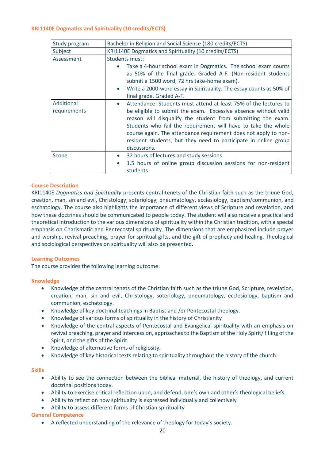# <span id="page-19-0"></span>**KRI1140E Dogmatics and Spirituality (10 credits/ECTS)**

| Study program              | Bachelor in Religion and Social Science (180 credits/ECTS)                                                                                                                                                                                                                                                                                                                                                                              |  |  |
|----------------------------|-----------------------------------------------------------------------------------------------------------------------------------------------------------------------------------------------------------------------------------------------------------------------------------------------------------------------------------------------------------------------------------------------------------------------------------------|--|--|
| Subject                    | KRI1140E Dogmatics and Spirituality (10 credits/ECTS)                                                                                                                                                                                                                                                                                                                                                                                   |  |  |
| Assessment                 | Students must:                                                                                                                                                                                                                                                                                                                                                                                                                          |  |  |
|                            | Take a 4-hour school exam in Dogmatics. The school exam counts<br>as 50% of the final grade. Graded A-F. (Non-resident students<br>submit a 1500 word, 72 hrs take-home exam).                                                                                                                                                                                                                                                          |  |  |
|                            | Write a 2000-word essay in Spirituality. The essay counts as 50% of<br>final grade. Graded A-F.                                                                                                                                                                                                                                                                                                                                         |  |  |
| Additional<br>requirements | Attendance: Students must attend at least 75% of the lectures to<br>$\bullet$<br>be eligible to submit the exam. Excessive absence without valid<br>reason will disqualify the student from submitting the exam.<br>Students who fail the requirement will have to take the whole<br>course again. The attendance requirement does not apply to non-<br>resident students, but they need to participate in online group<br>discussions. |  |  |
| Scope                      | 32 hours of lectures and study sessions<br>$\bullet$<br>1.5 hours of online group discussion sessions for non-resident<br>$\bullet$<br>students                                                                                                                                                                                                                                                                                         |  |  |

# **Course Description**

KRI1140E *Dogmatics and Spirituality* presents central tenets of the Christian faith such as the triune God, creation, man, sin and evil, Christology, soteriology, pneumatology, ecclesiology, baptism/communion, and eschatology. The course also highlights the importance of different views of Scripture and revelation, and how these doctrines should be communicated to people today. The student will also receive a practical and theoretical introduction to the various dimensions of spirituality within the Christian tradition, with a special emphasis on Charismatic and Pentecostal spirituality. The dimensions that are emphasized include prayer and worship, revival preaching, prayer for spiritual gifts, and the gift of prophecy and healing. Theological and sociological perspectives on spirituality will also be presented.

# **Learning Outcomes**

The course provides the following learning outcome:

# **Knowledge**

- Knowledge of the central tenets of the Christian faith such as the triune God, Scripture, revelation, creation, man, sin and evil, Christology, soteriology, pneumatology, ecclesiology, baptism and communion, eschatology.
- Knowledge of key doctrinal teachings in Baptist and /or Pentecostal theology.
- Knowledge of various forms of spirituality in the history of Christianity
- Knowledge of the central aspects of Pentecostal and Evangelical spirituality with an emphasis on revival preaching, prayer and intercession, approaches to the Baptism of the Holy Spirit/ filling of the Spirit, and the gifts of the Spirit.
- Knowledge of alternative forms of religiosity.
- Knowledge of key historical texts relating to spirituality throughout the history of the church.

# **Skills**

- Ability to see the connection between the biblical material, the history of theology, and current doctrinal positions today.
- Ability to exercise critical reflection upon, and defend, one's own and other's theological beliefs.
- Ability to reflect on how spirituality is expressed individually and collectively
- Ability to assess different forms of Christian spirituality

# **General Competence**

• A reflected understanding of the relevance of theology for today's society.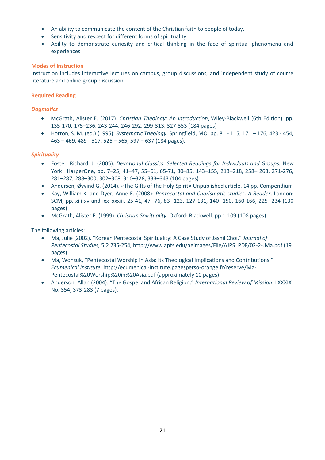- An ability to communicate the content of the Christian faith to people of today.
- Sensitivity and respect for different forms of spirituality
- Ability to demonstrate curiosity and critical thinking in the face of spiritual phenomena and experiences

# **Modes of Instruction**

Instruction includes interactive lectures on campus, group discussions, and independent study of course literature and online group discussion.

# **Required Reading**

# *Dogmatics*

- McGrath, Alister E. (2017). *Christian Theology: An Introduction*, Wiley-Blackwell (6th Edition), pp. 135-170, 175–236, 243-244, 246-292, 299-313, 327-353 (184 pages)
- Horton, S. M. (ed.) (1995): *Systematic Theology*. Springfield, MO. pp. 81 115, 171 176, 423 454, 463 – 469, 489 - 517, 525 – 565, 597 – 637 (184 pages).

# *Spirituality*

- Foster, Richard, J. (2005). *Devotional Classics: Selected Readings for Individuals and Groups.* New York : HarperOne, pp. 7–25, 41–47, 55–61, 65-71, 80–85, 143–155, 213–218, 258– 263, 271-276, 281–287, 288–300, 302–308, 316–328, 333–343 (104 pages)
- Andersen, Øyvind G. (2014). «The Gifts of the Holy Spirit» Unpublished article. 14 pp. Compendium
- Kay, William K. and Dyer, Anne E. (2008): *Pentecostal and Charismatic studies. A Reader*. London: SCM, pp. xiii-xv and ixx–xxxiii, 25-41, 47 -76, 83 -123, 127-131, 140 -150, 160-166, 225- 234 (130 pages)
- McGrath, Alister E. (1999). *Christian Spirituality*. Oxford: Blackwell. pp 1-109 (108 pages)

# The following articles:

- Ma, Julie (2002). "Korean Pentecostal Spirituality: A Case Study of Jashil Choi." *Journal of Pentecostal Studies,* 5:2 235-254, [http://www.apts.edu/aeimages/File/AJPS\\_PDF/02-2-JMa.pdf](http://www.apts.edu/aeimages/File/AJPS_PDF/02-2-JMa.pdf) (19 pages)
- Ma, Wonsuk, "Pentecostal Worship in Asia: Its Theological Implications and Contributions." *Ecumenical Institute*, [http://ecumenical-institute.pagesperso-orange.fr/reserve/Ma-](http://ecumenical-institute.pagesperso-orange.fr/reserve/Ma-Pentecostal%20Worship%20in%20Asia.pdf)[Pentecostal%20Worship%20in%20Asia.pdf](http://ecumenical-institute.pagesperso-orange.fr/reserve/Ma-Pentecostal%20Worship%20in%20Asia.pdf) (approximately 10 pages)
- Anderson, Allan (2004): "The Gospel and African Religion." *International Review of Mission*, LXXXIX No. 354, 373-283 (7 pages).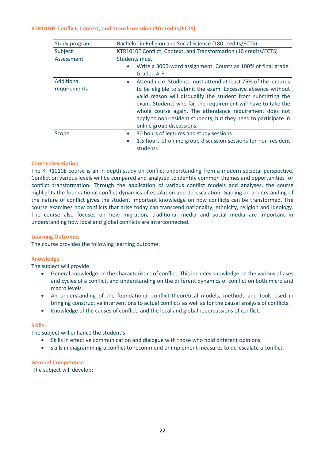# <span id="page-21-0"></span>**KTR1010E Conflict, Context, and Transformation (10 credits/ECTS)**

| Study program              | Bachelor in Religion and Social Science (180 credits/ECTS)                                                                                                                                                                                                                                                                                                                                                                             |  |  |
|----------------------------|----------------------------------------------------------------------------------------------------------------------------------------------------------------------------------------------------------------------------------------------------------------------------------------------------------------------------------------------------------------------------------------------------------------------------------------|--|--|
| Subject                    | KTR1010E Conflict, Context, and Transformation (10 credits/ECTS)                                                                                                                                                                                                                                                                                                                                                                       |  |  |
| Assessment                 | Students must:<br>Write a 3000-word assignment. Counts as 100% of final grade.<br>$\bullet$<br>Graded A-F.                                                                                                                                                                                                                                                                                                                             |  |  |
| Additional<br>requirements | Attendance: Students must attend at least 75% of the lectures<br>$\bullet$<br>to be eligible to submit the exam. Excessive absence without<br>valid reason will disqualify the student from submitting the<br>exam. Students who fail the requirement will have to take the<br>whole course again. The attendance requirement does not<br>apply to non-resident students, but they need to participate in<br>online group discussions. |  |  |
| Scope                      | 30 hours of lectures and study sessions<br>$\bullet$<br>1.5 hours of online group discussion sessions for non-resident<br>$\bullet$<br>students                                                                                                                                                                                                                                                                                        |  |  |

# **Course Description**

The KTR1010E course is an in-depth study on conflict understanding from a modern societal perspective. Conflict on various levels will be compared and analyzed to identify common themes and opportunities for conflict transformation. Through the application of various conflict models and analyses, the course highlights the foundational conflict dynamics of escalation and de-escalation. Gaining an understanding of the nature of conflict gives the student important knowledge on how conflicts can be transformed. The course examines how conflicts that arise today can transcend nationality, ethnicity, religion and ideology. The course also focuses on how migration, traditional media and social media are important in understanding how local and global conflicts are interconnected.

# **Learning Outcomes**

The course provides the following learning outcome:

# **Knowledge**

The subject will provide:

- General knowledge on the characteristics of conflict. This includes knowledge on the various phases and cycles of a conflict, and understanding on the different dynamics of conflict on both micro and macro levels.
- An understanding of the foundational conflict-theoretical models, methods and tools used in bringing constructive interventions to actual conflicts as well as for the causal analysis of conflicts.
- Knowledge of the causes of conflict, and the local and global repercussions of conflict.

# **Skills**

The subject will enhance the student's:

- Skills in effective communication and dialogue with those who hold different opinions.
- skills in diagramming a conflict to recommend or implement measures to de-escalate a conflict.

# **General Competence**

The subject will develop: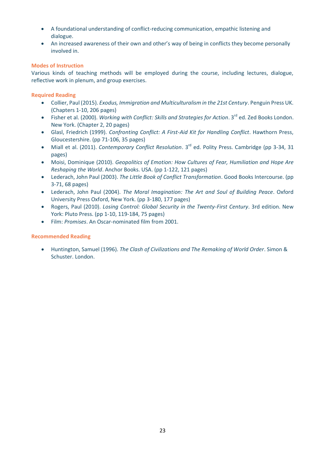- A foundational understanding of conflict-reducing communication, empathic listening and dialogue.
- An increased awareness of their own and other's way of being in conflicts they become personally involved in.

# **Modes of Instruction**

Various kinds of teaching methods will be employed during the course, including lectures, dialogue, reflective work in plenum, and group exercises.

# **Required Reading**

- Collier, Paul (2015). *Exodus, Immigration and Multiculturalism in the 21st Century*. Penguin Press UK. (Chapters 1-10, 206 pages)
- Fisher et al. (2000). *Working with Conflict: Skills and Strategies for Action*. 3<sup>rd</sup> ed. Zed Books London. New York. (Chapter 2, 20 pages)
- Glasl, Friedrich (1999). *Confronting Conflict: A First-Aid Kit for Handling Conflict*. Hawthorn Press, Gloucestershire. (pp 71-106, 35 pages)
- Miall et al. (2011). *Contemporary Conflict Resolution*. 3<sup>rd</sup> ed. Polity Press. Cambridge (pp 3-34, 31 pages)
- Moisi, Dominique (2010). *Geopolitics of Emotion: How Cultures of Fear, Humiliation and Hope Are Reshaping the World*. Anchor Books. USA. (pp 1-122, 121 pages)
- Lederach, John Paul (2003). *The Little Book of Conflict Transformation*. Good Books Intercourse. (pp 3-71, 68 pages)
- Lederach, John Paul (2004). *The Moral Imagination: The Art and Soul of Building Peace*. Oxford University Press Oxford, New York. (pp 3-180, 177 pages)
- Rogers, Paul (2010). *Losing Control: Global Security in the Twenty-First Century*. 3rd edition. New York: Pluto Press. (pp 1-10, 119-184, 75 pages)
- Film: *Promises*. An Oscar-nominated film from 2001.

# **Recommended Reading**

• Huntington, Samuel (1996). *The Clash of Civilizations and The Remaking of World Order*. Simon & Schuster. London.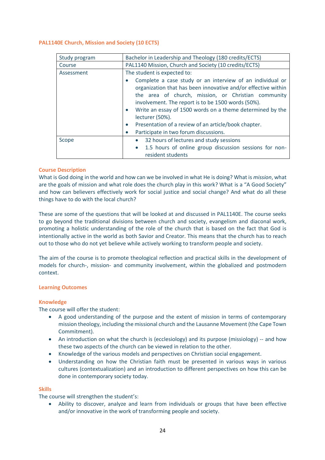# <span id="page-23-0"></span>**PAL1140E Church, Mission and Society (10 ECTS)**

| Study program | Bachelor in Leadership and Theology (180 credits/ECTS)                                                                                                                                                                                                                                                                               |  |
|---------------|--------------------------------------------------------------------------------------------------------------------------------------------------------------------------------------------------------------------------------------------------------------------------------------------------------------------------------------|--|
| Course        | PAL1140 Mission, Church and Society (10 credits/ECTS)                                                                                                                                                                                                                                                                                |  |
| Assessment    | The student is expected to:                                                                                                                                                                                                                                                                                                          |  |
|               | Complete a case study or an interview of an individual or<br>organization that has been innovative and/or effective within<br>the area of church, mission, or Christian community<br>involvement. The report is to be 1500 words (50%).<br>Write an essay of 1500 words on a theme determined by the<br>$\bullet$<br>lecturer (50%). |  |
|               | Presentation of a review of an article/book chapter.<br>$\bullet$                                                                                                                                                                                                                                                                    |  |
|               | Participate in two forum discussions.<br>$\bullet$                                                                                                                                                                                                                                                                                   |  |
| Scope         | 32 hours of lectures and study sessions<br>$\bullet$                                                                                                                                                                                                                                                                                 |  |
|               | 1.5 hours of online group discussion sessions for non-<br>$\bullet$<br>resident students                                                                                                                                                                                                                                             |  |

#### **Course Description**

What is God doing in the world and how can we be involved in what He is doing? What is *mission*, what are the goals of mission and what role does the church play in this work? What is a "A Good Society" and how can believers effectively work for social justice and social change? And what do all these things have to do with the local church?

These are some of the questions that will be looked at and discussed in PAL1140E. The course seeks to go beyond the traditional divisions between church and society, evangelism and diaconal work, promoting a holistic understanding of the role of the church that is based on the fact that God is intentionally active in the world as both Savior and Creator. This means that the church has to reach out to those who do not yet believe while actively working to transform people and society.

The aim of the course is to promote theological reflection and practical skills in the development of models for church-, mission- and community involvement, within the globalized and postmodern context.

#### **Learning Outcomes**

#### **Knowledge**

The course will offer the student:

- A good understanding of the purpose and the extent of mission in terms of contemporary mission theology, including the missional church and the Lausanne Movement (the Cape Town Commitment).
- An introduction on what the church is (ecclesiology) and its purpose (missiology) -- and how these two aspects of the church can be viewed in relation to the other.
- Knowledge of the various models and perspectives on Christian social engagement.
- Understanding on how the Christian faith must be presented in various ways in various cultures (contextualization) and an introduction to different perspectives on how this can be done in contemporary society today.

#### **Skills**

The course will strengthen the student's:

• Ability to discover, analyze and learn from individuals or groups that have been effective and/or innovative in the work of transforming people and society.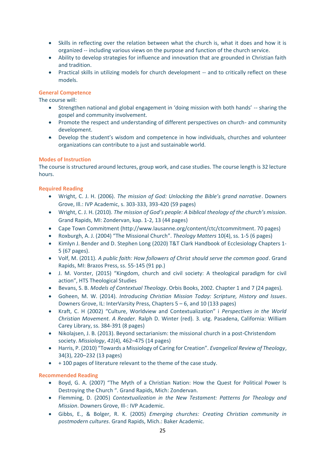- Skills in reflecting over the relation between what the church is, what it does and how it is organized -- including various views on the purpose and function of the church service.
- Ability to develop strategies for influence and innovation that are grounded in Christian faith and tradition.
- Practical skills in utilizing models for church development -- and to critically reflect on these models.

# **General Competence**

The course will:

- Strengthen national and global engagement in 'doing mission with both hands' -- sharing the gospel and community involvement.
- Promote the respect and understanding of different perspectives on church- and community development.
- Develop the student's wisdom and competence in how individuals, churches and volunteer organizations can contribute to a just and sustainable world.

# **Modes of Instruction**

The course is structured around lectures, group work, and case studies. The course length is 32 lecture hours.

# **Required Reading**

- Wright, C. J. H. (2006). *The mission of God: Unlocking the Bible's grand narrative*. Downers Grove, Ill.: IVP Academic, s. 303-333, 393-420 (59 pages)
- Wright, C. J. H. (2010). *The mission of God's people: A biblical theology of the church's mission*. Grand Rapids, MI: Zondervan, kap. 1-2, 13 (44 pages)
- Cape Town Commitment (http://www.lausanne.org/content/ctc/ctcommitment. 70 pages)
- Roxburgh, A. J. (2004) "The Missional Church". *Theology Matters* 10(4), ss. 1-5 (6 pages)
- Kimlyn J. Bender and D. Stephen Long (2020) T&T Clark Handbook of Ecclesiology Chapters 1- 5 (67 pages).
- Volf, M. (2011). *A public faith: How followers of Christ should serve the common good*. Grand Rapids, MI: Brazos Press, ss. 55-145 (91 pp.)
- J. M. Vorster, (2015) "Kingdom, church and civil society: A theological paradigm for civil action", HTS Theological Studies
- Bevans, S. B. *Models of Contextual Theology*. Orbis Books, 2002. Chapter 1 and 7 (24 pages).
- Goheen, M. W. (2014). *Introducing Christian Mission Today: Scripture, History and Issues*. Downers Grove, IL: InterVarsity Press, Chapters 5 – 6, and 10 (133 pages)
- Kraft, C. H (2002) "Culture, Worldview and Contextualization" i *Perspectives in the World Christian Movement. A Reader.* Ralph D. Winter (red). 3. utg. Pasadena, California: William Carey Library, ss. 384-391 (8 pages)
- Nikolajsen, J. B. (2013). Beyond sectarianism: the missional church in a post-Christendom society. *Missiology*, *41*(4), 462–475 (14 pages)
- Harris, P. (2010) "Towards a Missiology of Caring for Creation". *Evangelical Review of Theology*, 34(3), 220–232 (13 pages)
- + 100 pages of literature relevant to the theme of the case study.

# **Recommended Reading**

- Boyd, G. A. (2007) "The Myth of a Christian Nation: How the Quest for Political Power Is Destroying the Church ". Grand Rapids, Mich: Zondervan.
- Flemming, D. (2005) *Contextualization in the New Testament: Patterns for Theology and Mission*. Downers Grove, Ill-: IVP Academic.
- Gibbs, E., & Bolger, R. K. (2005) *Emerging churches: Creating Christian community in postmodern cultures*. Grand Rapids, Mich.: Baker Academic.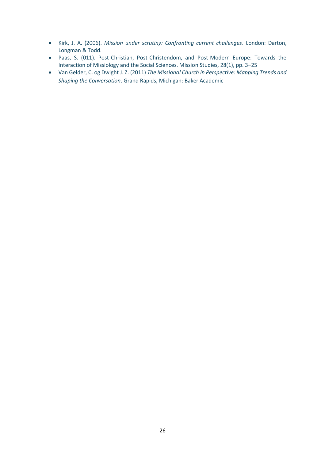- Kirk, J. A. (2006). *Mission under scrutiny: Confronting current challenges*. London: Darton, Longman & Todd.
- Paas, S. (011). Post-Christian, Post-Christendom, and Post-Modern Europe: Towards the Interaction of Missiology and the Social Sciences. Mission Studies, 28(1), pp. 3–25
- Van Gelder, C. og Dwight J. Z. (2011) *The Missional Church in Perspective: Mapping Trends and Shaping the Conversation*. Grand Rapids, Michigan: Baker Academic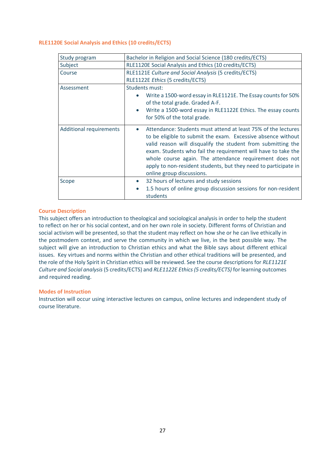#### <span id="page-26-0"></span>**RLE1120E Social Analysis and Ethics (10 credits/ECTS)**

| Study program                  | Bachelor in Religion and Social Science (180 credits/ECTS)                                                                                                                                                                                                                                                                                                                                                                             |
|--------------------------------|----------------------------------------------------------------------------------------------------------------------------------------------------------------------------------------------------------------------------------------------------------------------------------------------------------------------------------------------------------------------------------------------------------------------------------------|
| Subject                        | RLE1120E Social Analysis and Ethics (10 credits/ECTS)                                                                                                                                                                                                                                                                                                                                                                                  |
| Course                         | RLE1121E Culture and Social Analysis (5 credits/ECTS)                                                                                                                                                                                                                                                                                                                                                                                  |
|                                | RLE1122E Ethics (5 credits/ECTS)                                                                                                                                                                                                                                                                                                                                                                                                       |
| Assessment                     | Students must:<br>Write a 1500-word essay in RLE1121E. The Essay counts for 50%<br>$\bullet$<br>of the total grade. Graded A-F.                                                                                                                                                                                                                                                                                                        |
|                                | Write a 1500-word essay in RLE1122E Ethics. The essay counts<br>$\bullet$<br>for 50% of the total grade.                                                                                                                                                                                                                                                                                                                               |
| <b>Additional requirements</b> | Attendance: Students must attend at least 75% of the lectures<br>$\bullet$<br>to be eligible to submit the exam. Excessive absence without<br>valid reason will disqualify the student from submitting the<br>exam. Students who fail the requirement will have to take the<br>whole course again. The attendance requirement does not<br>apply to non-resident students, but they need to participate in<br>online group discussions. |
| Scope                          | 32 hours of lectures and study sessions<br>$\bullet$<br>1.5 hours of online group discussion sessions for non-resident<br>$\bullet$<br>students                                                                                                                                                                                                                                                                                        |

# **Course Description**

This subject offers an introduction to theological and sociological analysis in order to help the student to reflect on her or his social context, and on her own role in society. Different forms of Christian and social activism will be presented, so that the student may reflect on how she or he can live ethically in the postmodern context, and serve the community in which we live, in the best possible way. The subject will give an introduction to Christian ethics and what the Bible says about different ethical issues. Key virtues and norms within the Christian and other ethical traditions will be presented, and the role of the Holy Spirit in Christian ethics will be reviewed. See the course descriptions for *RLE1121E Culture and Social analysis* (5 credits/ECTS) and *RLE1122E Ethics (5 credits/ECTS)* for learning outcomes and required reading.

# **Modes of Instruction**

Instruction will occur using interactive lectures on campus, online lectures and independent study of course literature.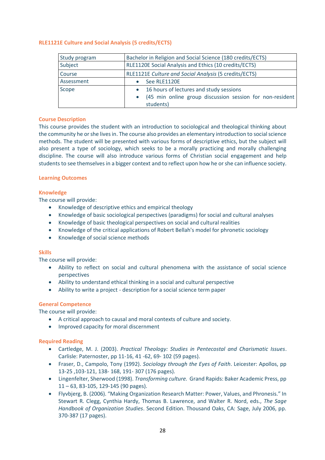# <span id="page-27-0"></span>**RLE1121E Culture and Social Analysis (5 credits/ECTS)**

| Study program | Bachelor in Religion and Social Science (180 credits/ECTS) |  |
|---------------|------------------------------------------------------------|--|
| Subject       | RLE1120E Social Analysis and Ethics (10 credits/ECTS)      |  |
| Course        | RLE1121E Culture and Social Analysis (5 credits/ECTS)      |  |
| Assessment    | See RLE1120E                                               |  |
| Scope         | 16 hours of lectures and study sessions<br>$\bullet$       |  |
|               | (45 min online group discussion session for non-resident   |  |
|               | students)                                                  |  |

# **Course Description**

This course provides the student with an introduction to sociological and theological thinking about the community he or she lives in. The course also provides an elementary introduction to social science methods. The student will be presented with various forms of descriptive ethics, but the subject will also present a type of sociology, which seeks to be a morally practicing and morally challenging discipline. The course will also introduce various forms of Christian social engagement and help students to see themselves in a bigger context and to reflect upon how he or she can influence society.

#### **Learning Outcomes**

# **Knowledge**

The course will provide:

- Knowledge of descriptive ethics and empirical theology
- Knowledge of basic sociological perspectives (paradigms) for social and cultural analyses
- Knowledge of basic theological perspectives on social and cultural realities
- Knowledge of the critical applications of Robert Bellah's model for phronetic sociology
- Knowledge of social science methods

# **Skills**

The course will provide:

- Ability to reflect on social and cultural phenomena with the assistance of social science perspectives
- Ability to understand ethical thinking in a social and cultural perspective
- Ability to write a project description for a social science term paper

# **General Competence**

The course will provide:

- A critical approach to causal and moral contexts of culture and society.
- Improved capacity for moral discernment

# **Required Reading**

- Cartledge, M. J. (2003). *Practical Theology: Studies in Pentecostal and Charismatic Issues*. Carlisle: Paternoster, pp 11-16, 41 -62, 69- 102 (59 pages).
- Fraser, D., Campolo, Tony (1992). *Sociology through the Eyes of Faith*. Leicester: Apollos, pp 13-25 ,103-121, 138- 168, 191- 307 (176 pages).
- Lingenfelter, Sherwood (1998). *Transforming culture.* Grand Rapids: Baker Academic Press, pp 11 – 63, 83-105, 129-145 (90 pages).
- Flyvbjerg, B. (2006). "Making Organization Research Matter: Power, Values, and Phronesis." In Stewart R. Clegg, Cynthia Hardy, Thomas B. Lawrence, and Walter R. Nord, eds., *The Sage Handbook of Organization Studies*. Second Edition. Thousand Oaks, CA: Sage, July 2006, pp. 370-387 (17 pages).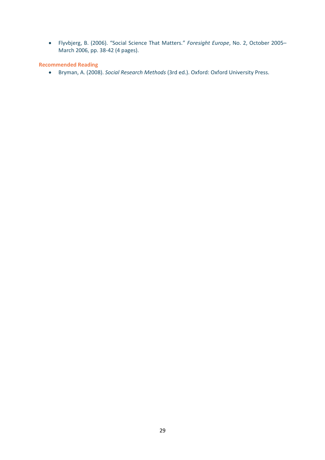• Flyvbjerg, B. (2006). "Social Science That Matters." *Foresight Europe*, No. 2, October 2005– March 2006, pp. 38-42 (4 pages).

**Recommended Reading**

• Bryman, A. (2008). *Social Research Methods* (3rd ed.). Oxford: Oxford University Press.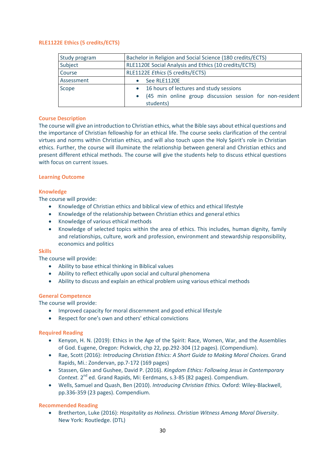# <span id="page-29-0"></span>**RLE1122E Ethics (5 credits/ECTS)**

| Study program | Bachelor in Religion and Social Science (180 credits/ECTS) |  |
|---------------|------------------------------------------------------------|--|
| Subject       | RLE1120E Social Analysis and Ethics (10 credits/ECTS)      |  |
| Course        | RLE1122E Ethics (5 credits/ECTS)                           |  |
| Assessment    | See RLE1120E                                               |  |
| Scope         | 16 hours of lectures and study sessions<br>$\bullet$       |  |
|               | (45 min online group discussion session for non-resident   |  |
|               | students)                                                  |  |

# **Course Description**

The course will give an introduction to Christian ethics, what the Bible says about ethical questions and the importance of Christian fellowship for an ethical life. The course seeks clarification of the central virtues and norms within Christian ethics, and will also touch upon the Holy Spirit's role in Christian ethics. Further, the course will illuminate the relationship between general and Christian ethics and present different ethical methods. The course will give the students help to discuss ethical questions with focus on current issues.

# **Learning Outcome**

# **Knowledge**

The course will provide:

- Knowledge of Christian ethics and biblical view of ethics and ethical lifestyle
- Knowledge of the relationship between Christian ethics and general ethics
- Knowledge of various ethical methods
- Knowledge of selected topics within the area of ethics. This includes, human dignity, family and relationships, culture, work and profession, environment and stewardship responsibility, economics and politics

# **Skills**

The course will provide:

- Ability to base ethical thinking in Biblical values
- Ability to reflect ethically upon social and cultural phenomena
- Ability to discuss and explain an ethical problem using various ethical methods

# **General Competence**

The course will provide:

- Improved capacity for moral discernment and good ethical lifestyle
- Respect for one's own and others' ethical convictions

# **Required Reading**

- Kenyon, H. N. (2019): Ethics in the Age of the Spirit: Race, Women, War, and the Assemblies of God. Eugene, Oregon: Pickwick, chp 22, pp.292-304 (12 pages). (Compendium).
- Rae, Scott (2016): *Introducing Christian Ethics: A Short Guide to Making Moral Choices.* Grand Rapids, Mi.: Zondervan, pp.7-172 (169 pages)
- Stassen, Glen and Gushee, David P. (2016). *Kingdom Ethics: Following Jesus in Contemporary*  Context. 2<sup>nd</sup> ed. Grand Rapids, Mi: Eerdmans, s.3-85 (82 pages). Compendium.
- Wells, Samuel and Quash, Ben (2010). *Introducing Christian Ethics.* Oxford: Wiley-Blackwell, pp.336-359 (23 pages). Compendium.

# **Recommended Reading**

• Bretherton, Luke (2016): *Hospitality as Holiness. Christian Witness Among Moral Diversity*. New York: Routledge. (DTL)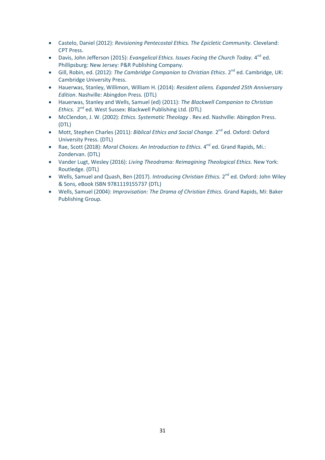- Castelo, Daniel (2012): *Revisioning Pentecostal Ethics. The Epicletic Community.* Cleveland: CPT Press.
- Davis, John Jefferson (2015): *Evangelical Ethics. Issues Facing the Church Today.* 4<sup>nd</sup> ed. Phillipsburg: New Jersey: P&R Publishing Company.
- Gill, Robin, ed. (2012): The Cambridge Companion to Christian Ethics. 2<sup>nd</sup> ed. Cambridge, UK: Cambridge University Press.
- Hauerwas, Stanley, Willimon, William H. (2014): *Resident aliens. Expanded 25th Anniversary Edition*. Nashville: Abingdon Press. (DTL)
- Hauerwas, Stanley and Wells, Samuel (ed) (2011): *The Blackwell Companion to Christian*  Ethics. 2<sup>nd</sup> ed. West Sussex: Blackwell Publishing Ltd. (DTL)
- McClendon, J. W. (2002): *Ethics. Systematic Theology* . Rev.ed. Nashville: Abingdon Press. (DTL)
- Mott, Stephen Charles (2011): *Biblical Ethics and Social Change.* 2<sup>nd</sup> ed. Oxford: Oxford University Press. (DTL)
- Rae, Scott (2018): Moral Choices. An Introduction to Ethics. 4<sup>nd</sup> ed. Grand Rapids, Mi.: Zondervan. (DTL)
- Vander Lugt, Wesley (2016): *Living Theodrama: Reimagining Theological Ethics.* New York: Routledge. (DTL)
- Wells, Samuel and Quash, Ben (2017). *Introducing Christian Ethics*. 2<sup>nd</sup> ed. Oxford: John Wiley & Sons, eBook ISBN 9781119155737 (DTL)
- Wells, Samuel (2004): *Improvisation: The Drama of Christian Ethics.* Grand Rapids, Mi: Baker Publishing Group.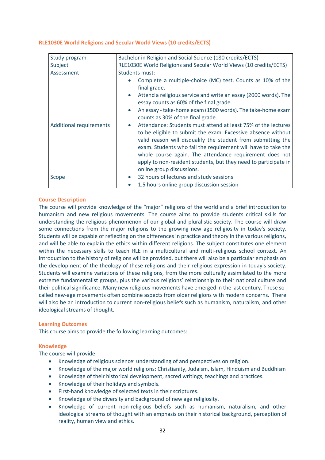# <span id="page-31-0"></span>**RLE1030E World Religions and Secular World Views (10 credits/ECTS)**

| Study program                  | Bachelor in Religion and Social Science (180 credits/ECTS)                                                                                                                                                                                                                                                                                                                                                                             |
|--------------------------------|----------------------------------------------------------------------------------------------------------------------------------------------------------------------------------------------------------------------------------------------------------------------------------------------------------------------------------------------------------------------------------------------------------------------------------------|
| Subject                        | RLE1030E World Religions and Secular World Views (10 credits/ECTS)                                                                                                                                                                                                                                                                                                                                                                     |
| Assessment                     | <b>Students must:</b><br>Complete a multiple-choice (MC) test. Counts as 10% of the<br>final grade.<br>Attend a religious service and write an essay (2000 words). The<br>$\bullet$<br>essay counts as 60% of the final grade.<br>An essay - take-home exam (1500 words). The take-home exam<br>$\bullet$<br>counts as 30% of the final grade.                                                                                         |
| <b>Additional requirements</b> | Attendance: Students must attend at least 75% of the lectures<br>$\bullet$<br>to be eligible to submit the exam. Excessive absence without<br>valid reason will disqualify the student from submitting the<br>exam. Students who fail the requirement will have to take the<br>whole course again. The attendance requirement does not<br>apply to non-resident students, but they need to participate in<br>online group discussions. |
| Scope                          | 32 hours of lectures and study sessions<br>$\bullet$                                                                                                                                                                                                                                                                                                                                                                                   |
|                                | 1.5 hours online group discussion session                                                                                                                                                                                                                                                                                                                                                                                              |

#### **Course Description**

The course will provide knowledge of the "major" religions of the world and a brief introduction to humanism and new religious movements. The course aims to provide students critical skills for understanding the religious phenomenon of our global and pluralistic society. The course will draw some connections from the major religions to the growing new age religiosity in today's society. Students will be capable of reflecting on the differences in practice and theory in the various religions, and will be able to explain the ethics within different religions. The subject constitutes one element within the necessary skills to teach RLE in a multicultural and multi-religious school context. An introduction to the history of religions will be provided, but there will also be a particular emphasis on the development of the theology of these religions and their religious expression in today's society. Students will examine variations of these religions, from the more culturally assimilated to the more extreme fundamentalist groups, plus the various religions' relationship to their national culture and their political significance. Many new religious movements have emerged in the last century. These socalled new-age movements often combine aspects from older religions with modern concerns. There will also be an introduction to current non-religious beliefs such as humanism, naturalism, and other ideological streams of thought.

#### **Learning Outcomes**

This course aims to provide the following learning outcomes:

# **Knowledge**

The course will provide:

- Knowledge of religious science' understanding of and perspectives on religion.
- Knowledge of the major world religions: Christianity, Judaism, Islam, Hinduism and Buddhism
- Knowledge of their historical development, sacred writings, teachings and practices.
- Knowledge of their holidays and symbols.
- First-hand knowledge of selected texts in their scriptures.
- Knowledge of the diversity and background of new age religiosity.
- Knowledge of current non-religious beliefs such as humanism, naturalism, and other ideological streams of thought with an emphasis on their historical background, perception of reality, human view and ethics.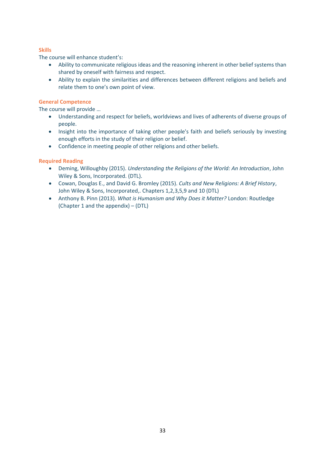# **Skills**

The course will enhance student's:

- Ability to communicate religious ideas and the reasoning inherent in other belief systems than shared by oneself with fairness and respect.
- Ability to explain the similarities and differences between different religions and beliefs and relate them to one's own point of view.

# **General Competence**

The course will provide …

- Understanding and respect for beliefs, worldviews and lives of adherents of diverse groups of people.
- Insight into the importance of taking other people's faith and beliefs seriously by investing enough efforts in the study of their religion or belief.
- Confidence in meeting people of other religions and other beliefs.

# **Required Reading**

- Deming, Willoughby (2015). *Understanding the Religions of the World: An Introduction*, John Wiley & Sons, Incorporated. (DTL).
- Cowan, Douglas E., and David G. Bromley (2015). *Cults and New Religions: A Brief History*, John Wiley & Sons, Incorporated,. Chapters 1,2,3,5,9 and 10 (DTL)
- Anthony B. Pinn (2013). *What is Humanism and Why Does it Matter?* London: Routledge (Chapter 1 and the appendix) – (DTL)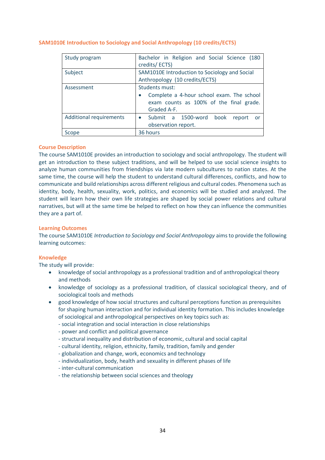| Study program                  | Bachelor in Religion and Social Science (180<br>credits/ECTS)                                                         |
|--------------------------------|-----------------------------------------------------------------------------------------------------------------------|
| Subject                        | SAM1010E Introduction to Sociology and Social<br>Anthropology (10 credits/ECTS)                                       |
| Assessment                     | Students must:<br>Complete a 4-hour school exam. The school<br>exam counts as 100% of the final grade.<br>Graded A-F. |
| <b>Additional requirements</b> | • Submit a 1500-word<br>book<br>report<br>- or<br>observation report.                                                 |
| Scope                          | 36 hours                                                                                                              |

# <span id="page-33-0"></span>**SAM1010E Introduction to Sociology and Social Anthropology (10 credits/ECTS)**

# **Course Description**

The course SAM1010E provides an introduction to sociology and social anthropology. The student will get an introduction to these subject traditions, and will be helped to use social science insights to analyze human communities from friendships via late modern subcultures to nation states. At the same time, the course will help the student to understand cultural differences, conflicts, and how to communicate and build relationships across different religious and cultural codes. Phenomena such as identity, body, health, sexuality, work, politics, and economics will be studied and analyzed. The student will learn how their own life strategies are shaped by social power relations and cultural narratives, but will at the same time be helped to reflect on how they can influence the communities they are a part of.

# **Learning Outcomes**

The course SAM1010E *Introduction to Sociology and Social Anthropology* aims to provide the following learning outcomes:

# **Knowledge**

The study will provide:

- knowledge of social anthropology as a professional tradition and of anthropological theory and methods
- knowledge of sociology as a professional tradition, of classical sociological theory, and of sociological tools and methods
- good knowledge of how social structures and cultural perceptions function as prerequisites for shaping human interaction and for individual identity formation. This includes knowledge of sociological and anthropological perspectives on key topics such as:
	- social integration and social interaction in close relationships
	- power and conflict and political governance
	- structural inequality and distribution of economic, cultural and social capital
	- cultural identity, religion, ethnicity, family, tradition, family and gender
	- globalization and change, work, economics and technology
	- individualization, body, health and sexuality in different phases of life
	- inter-cultural communication
	- the relationship between social sciences and theology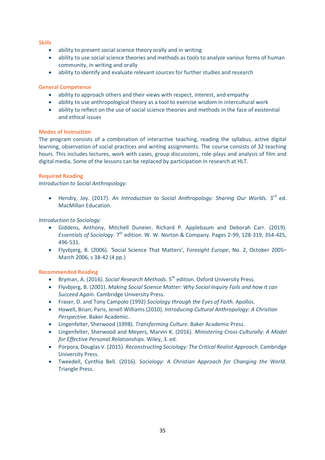# **Skills**

- ability to present social science theory orally and in writing
- ability to use social science theories and methods as tools to analyze various forms of human community, in writing and orally
- ability to identify and evaluate relevant sources for further studies and research

#### **General Competence**

- ability to approach others and their views with respect, interest, and empathy
- ability to use anthropological theory as a tool to exercise wisdom in intercultural work
- ability to reflect on the use of social science theories and methods in the face of existential and ethical issues

#### **Modes of Instruction**

The program consists of a combination of interactive teaching, reading the syllabus, active digital learning, observation of social practices and writing assignments. The course consists of 32 teaching hours. This includes lectures, work with cases, group discussions, role-plays and analysis of film and digital media. Some of the lessons can be replaced by participation in research at HLT.

# **Required Reading**

*Introduction to Social Anthropology:* 

• Hendry, Joy. (2017). An Introduction to Social Anthropology: Sharing Our Worlds. 3<sup>rd</sup> ed. MacMillan Education.

# *Introduction to Sociology:*

- Giddens, Anthony, Mitchell Duneier, Richard P. Applebaum and Deborah Carr. (2019). *Essentials of Sociology.* 7<sup>th</sup> edition. W. W. Norton & Company. Pages 2-99, 128-319, 354-425, 496-531.
- Flyvbjerg, B. (2006). *'*Social Science That Matters', *Foresight Europe*, No. 2, October 2005– March 2006, s 38-42 (4 pp.)

# **Recommended Reading**

- Bryman, A. (2016). *Social Research Methods*. 5<sup>th</sup> edition. Oxford University Press.
- Flyvbjerg, B. (2001). *Making Social Science Matter: Why Social Inquiry Fails and how it can Succeed Again.* Cambridge University Press.
- Fraser, D. and Tony Campolo (1992) *Sociology through the Eyes of Faith.* Apollos.
- Howell, Brian; Paris, Jenell Williams (2010). *Introducing Cultural Anthropology: A Christian Perspective*. Baker Academic.
- Lingenfelter, Sherwood (1998). *Transforming Culture.* Baker Academic Press.
- Lingenfelter, Sherwood and Meyers, Marvin K. (2016). *Ministering Cross-Culturally*: *A Model for Effective Personal Relationships*. Wiley, 3. ed.
- Porpora, Douglas V. (2015). *Reconstructing Sociology: The Critical Realist Approach*. Cambridge University Press.
- Tweedell, Cynthia Bell. (2016). *Sociology*: *A Christian Approach for Changing the World.* Triangle Press.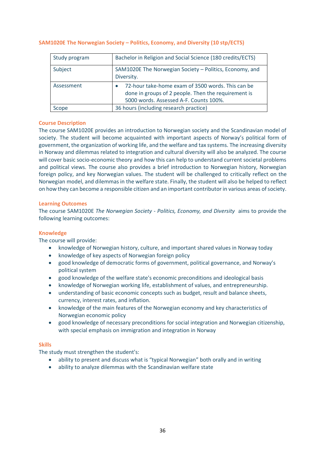| Study program | Bachelor in Religion and Social Science (180 credits/ECTS)                                                                                         |
|---------------|----------------------------------------------------------------------------------------------------------------------------------------------------|
| Subject       | SAM1020E The Norwegian Society - Politics, Economy, and<br>Diversity.                                                                              |
| Assessment    | 72-hour take-home exam of 3500 words. This can be<br>done in groups of 2 people. Then the requirement is<br>5000 words. Assessed A-F. Counts 100%. |
| Scope         | 36 hours (including research practice)                                                                                                             |

# <span id="page-35-0"></span>**SAM1020E The Norwegian Society – Politics, Economy, and Diversity (10 stp/ECTS)**

# **Course Description**

The course SAM1020E provides an introduction to Norwegian society and the Scandinavian model of society. The student will become acquainted with important aspects of Norway's political form of government, the organization of working life, and the welfare and tax systems. The increasing diversity in Norway and dilemmas related to integration and cultural diversity will also be analyzed. The course will cover basic socio-economic theory and how this can help to understand current societal problems and political views. The course also provides a brief introduction to Norwegian history, Norwegian foreign policy, and key Norwegian values. The student will be challenged to critically reflect on the Norwegian model, and dilemmas in the welfare state. Finally, the student will also be helped to reflect on how they can become a responsible citizen and an important contributor in various areas of society.

# **Learning Outcomes**

The course SAM1020E *The Norwegian Society - Politics, Economy, and Diversity* aims to provide the following learning outcomes:

# **Knowledge**

The course will provide:

- knowledge of Norwegian history, culture, and important shared values in Norway today
- knowledge of key aspects of Norwegian foreign policy
- good knowledge of democratic forms of government, political governance, and Norway's political system
- good knowledge of the welfare state's economic preconditions and ideological basis
- knowledge of Norwegian working life, establishment of values, and entrepreneurship.
- understanding of basic economic concepts such as budget, result and balance sheets, currency, interest rates, and inflation.
- knowledge of the main features of the Norwegian economy and key characteristics of Norwegian economic policy
- good knowledge of necessary preconditions for social integration and Norwegian citizenship, with special emphasis on immigration and integration in Norway

# **Skills**

The study must strengthen the student's:

- ability to present and discuss what is "typical Norwegian" both orally and in writing
- ability to analyze dilemmas with the Scandinavian welfare state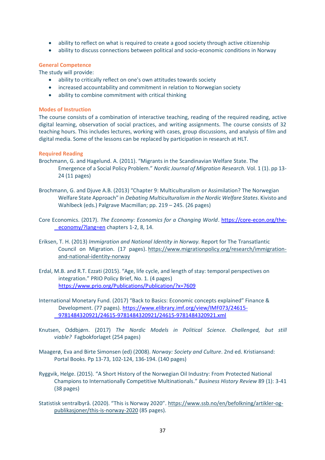- ability to reflect on what is required to create a good society through active citizenship
- ability to discuss connections between political and socio-economic conditions in Norway

# **General Competence**

The study will provide:

- ability to critically reflect on one's own attitudes towards society
- increased accountability and commitment in relation to Norwegian society
- ability to combine commitment with critical thinking

#### **Modes of Instruction**

The course consists of a combination of interactive teaching, reading of the required reading, active digital learning, observation of social practices, and writing assignments. The course consists of 32 teaching hours. This includes lectures, working with cases, group discussions, and analysis of film and digital media. Some of the lessons can be replaced by participation in research at HLT.

#### **Required Reading**

Brochmann, G. and Hagelund. A. (2011). "Migrants in the Scandinavian Welfare State. The Emergence of a Social Policy Problem." *Nordic Journal of Migration Research.* Vol. 1 (1). pp 13- 24 (11 pages)

Brochmann, G. and Djuve A.B. (2013) "Chapter 9: Multiculturalism or Assimilation? The Norwegian Welfare State Approach" in *Debating Multiculturalism in the Nordic Welfare States*. Kivisto and Wahlbeck (eds.) Palgrave Macmillan; pp. 219 – 245. (26 pages)

Core Economics. (2017). *The Economy: Economics for a Changing World*. [https://core-econ.org/the](https://core-econ.org/the-%09economy/?lang=en)[economy/?lang=en](https://core-econ.org/the-%09economy/?lang=en) chapters 1-2, 8, 14.

- Eriksen, T. H. (2013) *Immigration and National Identity in Norway.* Report for The Transatlantic Council on Migration. (17 pages). [https://www.migrationpolicy.org/research/immigration](https://www.migrationpolicy.org/research/immigration-and-national-identity-norway)[and-national-identity-norway](https://www.migrationpolicy.org/research/immigration-and-national-identity-norway)
- Erdal, M.B. and R.T. Ezzati (2015). "Age, life cycle, and length of stay: temporal perspectives on integration." PRIO Policy Brief, No. 1. (4 pages) <https://www.prio.org/Publications/Publication/?x=7609>
- International Monetary Fund. (2017) "Back to Basics: Economic concepts explained" Finance & Development. (77 pages). [https://www.elibrary.imf.org/view/IMF073/24615-](https://www.elibrary.imf.org/view/IMF073/24615-%099781484320921/24615-9781484320921/24615-9781484320921.xml) [9781484320921/24615-9781484320921/24615-9781484320921.xml](https://www.elibrary.imf.org/view/IMF073/24615-%099781484320921/24615-9781484320921/24615-9781484320921.xml)
- Knutsen, Oddbjørn. (2017) *The Nordic Models in Political Science. Challenged, but still viable?* Fagbokforlaget (254 pages)
- Maagerø, Eva and Birte Simonsen (ed) (2008). *Norway: Society and Culture*. 2nd ed. Kristiansand: Portal Books. Pp 13-73, 102-124, 136-194. (140 pages)
- Ryggvik, Helge. (2015). "A Short History of the Norwegian Oil Industry: From Protected National Champions to Internationally Competitive Multinationals." *Business History Review* 89 (1): 3-41 (38 pages)
- Statistisk sentralbyrå. (2020). "This is Norway 2020". [https://www.ssb.no/en/befolkning/artikler-og](https://www.ssb.no/en/befolkning/artikler-og-publikasjoner/this-is-norway-2020)[publikasjoner/this-is-norway-2020](https://www.ssb.no/en/befolkning/artikler-og-publikasjoner/this-is-norway-2020) (85 pages).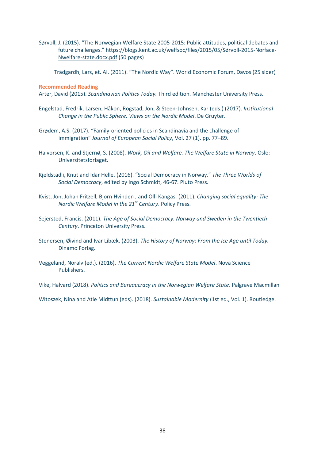Sørvoll, J. (2015). "The Norwegian Welfare State 2005-2015: Public attitudes, political debates and future challenges." [https://blogs.kent.ac.uk/welfsoc/files/2015/05/Sørvoll-2015-Norface-](https://blogs.kent.ac.uk/welfsoc/files/2015/05/Sørvoll-2015-Norface-Nwelfare-state.docx.pdf)[Nwelfare-state.docx.pdf](https://blogs.kent.ac.uk/welfsoc/files/2015/05/Sørvoll-2015-Norface-Nwelfare-state.docx.pdf) (50 pages)

Trädgardh, Lars, et. Al. (2011). "The Nordic Way". World Economic Forum, Davos (25 sider)

**Recommended Reading**

Arter, David (2015). *Scandinavian Politics Today.* Third edition. Manchester University Press.

- Engelstad, Fredrik, Larsen, Håkon, Rogstad, Jon, & Steen-Johnsen, Kar (eds.) (2017). *Institutional Change in the Public Sphere. Views on the Nordic Model*. De Gruyter.
- Grødem, A.S. (2017). "Family-oriented policies in Scandinavia and the challenge of immigration" *Journal of European Social Policy*, Vol. 27 (1). pp. 77–89.
- Halvorsen, K. and Stjernø, S. (2008). *Work, Oil and Welfare. The Welfare State in Norway*. Oslo: Universitetsforlaget.
- Kjeldstadli, Knut and Idar Helle. (2016). "Social Democracy in Norway." *The Three Worlds of Social Democracy*, edited by Ingo Schmidt, 46-67. Pluto Press.
- Kvist, Jon, Johan Fritzell, Bjorn Hvinden , and Olli Kangas. (2011). *Changing social equality: The Nordic Welfare Model in the 21st Century*. Policy Press.
- Sejersted, Francis. (2011). *The Age of Social Democracy. Norway and Sweden in the Twentieth Century*. Princeton University Press.
- Stenersen, Øivind and Ivar Libæk. (2003). *The History of Norway: From the Ice Age until Today.*  Dinamo Forlag.
- Veggeland, Noralv (ed.). (2016). *The Current Nordic Welfare State Model*. Nova Science Publishers.

Vike, Halvard (2018). *Politics and Bureaucracy in the Norwegian Welfare State*. Palgrave Macmillan

Witoszek, Nina and Atle Midttun (eds). (2018). *Sustainable Modernity* (1st ed., Vol. 1). Routledge.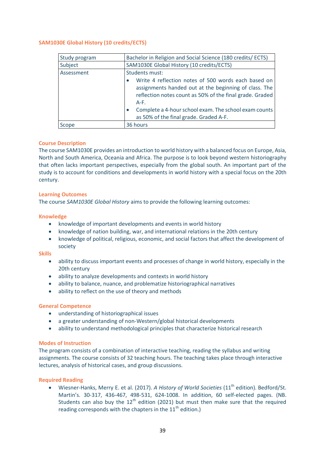| Study program | Bachelor in Religion and Social Science (180 credits/ ECTS)                                                                                                                                                                                                                           |
|---------------|---------------------------------------------------------------------------------------------------------------------------------------------------------------------------------------------------------------------------------------------------------------------------------------|
| Subject       | SAM1030E Global History (10 credits/ECTS)                                                                                                                                                                                                                                             |
| Assessment    | Students must:                                                                                                                                                                                                                                                                        |
|               | Write 4 reflection notes of 500 words each based on<br>assignments handed out at the beginning of class. The<br>reflection notes count as 50% of the final grade. Graded<br>$A-F.$<br>Complete a 4-hour school exam. The school exam counts<br>as 50% of the final grade. Graded A-F. |
| Scope         | 36 hours                                                                                                                                                                                                                                                                              |

# <span id="page-38-0"></span>**SAM1030E Global History (10 credits/ECTS)**

#### **Course Description**

The course SAM1030E provides an introduction to world history with a balanced focus on Europe, Asia, North and South America, Oceania and Africa. The purpose is to look beyond western historiography that often lacks important perspectives, especially from the global south. An important part of the study is to account for conditions and developments in world history with a special focus on the 20th century.

#### **Learning Outcomes**

The course *SAM1030E Global History* aims to provide the following learning outcomes:

#### **Knowledge**

- knowledge of important developments and events in world history
- knowledge of nation building, war, and international relations in the 20th century
- knowledge of political, religious, economic, and social factors that affect the development of society

**Skills**

- ability to discuss important events and processes of change in world history, especially in the 20th century
- ability to analyze developments and contexts in world history
- ability to balance, nuance, and problematize historiographical narratives
- ability to reflect on the use of theory and methods

#### **General Competence**

- understanding of historiographical issues
- a greater understanding of non-Western/global historical developments
- ability to understand methodological principles that characterize historical research

#### **Modes of Instruction**

The program consists of a combination of interactive teaching, reading the syllabus and writing assignments. The course consists of 32 teaching hours. The teaching takes place through interactive lectures, analysis of historical cases, and group discussions.

# **Required Reading**

• Wiesner-Hanks, Merry E. et al. (2017). *A History of World Societies* (11<sup>th</sup> edition). Bedford/St. Martin's. 30-317, 436-467, 498-531, 624-1008. In addition, 60 self-elected pages. (NB. Students can also buy the  $12<sup>th</sup>$  edition (2021) but must then make sure that the required reading corresponds with the chapters in the  $11<sup>th</sup>$  edition.)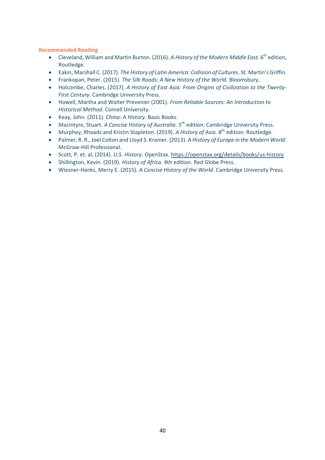# **Recommended Reading**

- Cleveland, William and Martin Burton. (2016). A History of the Modern Middle East. 6<sup>th</sup> edition, Routledge.
- Eakin, Marshall C. (2017). *The History of Latin America: Collision of Cultures*. St. Martin's Griffin.
- Frankopan, Peter. (2015). *The Silk Roads: A New History of the World.* Bloomsbury.
- Holcombe, Charles. (2017). *A History of East Asia: From Origins of Civilization to the Twenty-First Century*. Cambridge University Press.
- Howell, Martha and Walter Prevenier (2001). *From Reliable Sources: An Introduction to Historical Method*. Cornell University.
- Keay, John. (2011). *China: A History*. Basic Books.
- Macintyre, Stuart. *A Concise History of Australia*. 5<sup>th</sup> edition. Cambridge University Press.
- Murphey, Rhoads and Kristin Stapleton. (2019). A History of Asia. 8<sup>th</sup> edition. Routledge.
- Palmer, R. R., Joel Colton and Lloyd S. Kramer. (2013). *A History of Europe in the Modern World*. McGraw-Hill Professional.
- Scott, P. et. al, (2014). *U.S. History*. OpenStax.<https://openstax.org/details/books/us-history>
- Shillington, Kevin. (2019). *History of Africa.* 4th edition. Red Globe Press.
- Wiesner-Hanks, Merry E. (2015). *A Concise History of the World*. Cambridge University Press.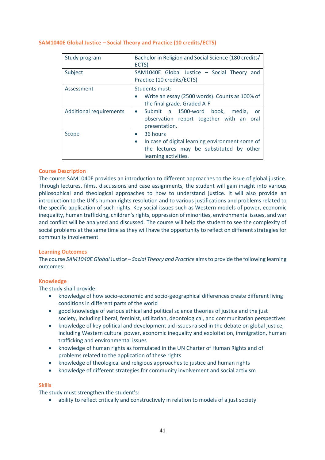| Study program                  | Bachelor in Religion and Social Science (180 credits/<br>ECTS)                                                                  |
|--------------------------------|---------------------------------------------------------------------------------------------------------------------------------|
| Subject                        | SAM1040E Global Justice - Social Theory<br>and<br>Practice (10 credits/ECTS)                                                    |
| Assessment                     | Students must:<br>Write an essay (2500 words). Counts as 100% of<br>the final grade. Graded A-F                                 |
| <b>Additional requirements</b> | · Submit a 1500-word book, media,<br><b>or</b><br>observation report together with an oral<br>presentation.                     |
| Scope                          | 36 hours<br>In case of digital learning environment some of<br>the lectures may be substituted by other<br>learning activities. |

# <span id="page-40-0"></span>**SAM1040E Global Justice – Social Theory and Practice (10 credits/ECTS)**

#### **Course Description**

The course SAM1040E provides an introduction to different approaches to the issue of global justice. Through lectures, films, discussions and case assignments, the student will gain insight into various philosophical and theological approaches to how to understand justice. It will also provide an introduction to the UN's human rights resolution and to various justifications and problems related to the specific application of such rights. Key social issues such as Western models of power, economic inequality, human trafficking, children's rights, oppression of minorities, environmental issues, and war and conflict will be analyzed and discussed. The course will help the student to see the complexity of social problems at the same time as they will have the opportunity to reflect on different strategies for community involvement.

#### **Learning Outcomes**

The course *SAM1040E Global* Justic*e – Social Theory and Practice* aims to provide the following learning outcomes:

#### **Knowledge**

The study shall provide:

- knowledge of how socio-economic and socio-geographical differences create different living conditions in different parts of the world
- good knowledge of various ethical and political science theories of justice and the just society, including liberal, feminist, utilitarian, deontological, and communitarian perspectives
- knowledge of key political and development aid issues raised in the debate on global justice, including Western cultural power, economic inequality and exploitation, immigration, human trafficking and environmental issues
- knowledge of human rights as formulated in the UN Charter of Human Rights and of problems related to the application of these rights
- knowledge of theological and religious approaches to justice and human rights
- knowledge of different strategies for community involvement and social activism

# **Skills**

The study must strengthen the student's:

• ability to reflect critically and constructively in relation to models of a just society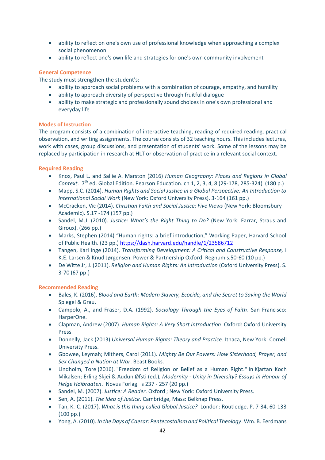- ability to reflect on one's own use of professional knowledge when approaching a complex social phenomenon
- ability to reflect one's own life and strategies for one's own community involvement

# **General Competence**

The study must strengthen the student's:

- ability to approach social problems with a combination of courage, empathy, and humility
- ability to approach diversity of perspective through fruitful dialogue
- ability to make strategic and professionally sound choices in one's own professional and everyday life

# **Modes of Instruction**

The program consists of a combination of interactive teaching, reading of required reading, practical observation, and writing assignments. The course consists of 32 teaching hours. This includes lectures, work with cases, group discussions, and presentation of students' work. Some of the lessons may be replaced by participation in research at HLT or observation of practice in a relevant social context.

# **Required Reading**

- Knox, Paul L. and Sallie A. Marston (2016) *Human Geography: Places and Regions in Global Context.* 7<sup>th</sup> ed. Global Edition. Pearson Education. ch 1, 2, 3, 4, 8 (29-178, 285-324) (180 p.)
- Mapp, S.C. (2014). *Human Rights and Social Justice in a Global Perspective: An Introduction to International Social Work* (New York: Oxford University Press). 3-164 (161 pp.)
- McCracken, Vic (2014). *Christian Faith and Social Justice: Five Views* (New York: Bloomsbury Academic). S.17 -174 (157 pp.)
- Sandel, M.J. (2010). *Justice: What's the Right Thing to Do?* (New York: Farrar, Straus and Giroux). (266 pp.)
- Marks, Stephen (2014) "Human rights: a brief introduction," Working Paper, Harvard School of Public Health. (23 pp.)<https://dash.harvard.edu/handle/1/23586712>
- Tangen, Karl Inge (2014). *Transforming Development: A Critical and Constructive Response,* I K.E. Larsen & Knud Jørgensen. Power & Partnership Oxford: Regnum s.50-60 (10 pp.)
- De Witte Jr, J. (2011). *Religion and Human Rights: An Introduction* (Oxford University Press). S. 3-70 (67 pp.)

# **Recommended Reading**

- Bales, K. (2016). *Blood and Earth: Modern Slavery, Ecocide, and the Secret to Saving the World*  Spiegel & Grau.
- Campolo, A., and Fraser, D.A. (1992). *Sociology Through the Eyes of Faith*. San Francisco: HarperOne.
- Clapman, Andrew (2007). *Human Rights: A Very Short Introduction*. Oxford: Oxford University Press.
- Donnelly, Jack (2013) *Universal Human Rights: Theory and Practice*. Ithaca, New York: Cornell University Press.
- Gbowee, Leymah; Mithers, Carol (2011). *Mighty Be Our Powers: How Sisterhood, Prayer, and Sex Changed a Nation at War*. Beast Books.
- Lindholm, Tore (2016). "Freedom of Religion or Belief as a Human Right." In Kjartan Koch Mikalsen; Erling Skjei & Audun Øfsti (ed.), *Modernity - Unity in Diversity? Essays in Honour of Helge Høibraaten*. Novus Forlag. s 237 - 257 (20 pp.)
- Sandel, M. (2007). *Justice: A Reader*. Oxford ; New York: Oxford University Press.
- Sen, A. (2011). *The Idea of Justice*. Cambridge, Mass: Belknap Press.
- Tan, K.-C. (2017). *What is this thing called Global Justice?* London: Routledge. P. 7-34, 60-133 (100 pp.)
- Yong, A. (2010). *In the Days of Caesar: Pentecostalism and Political Theology*. Wm. B. Eerdmans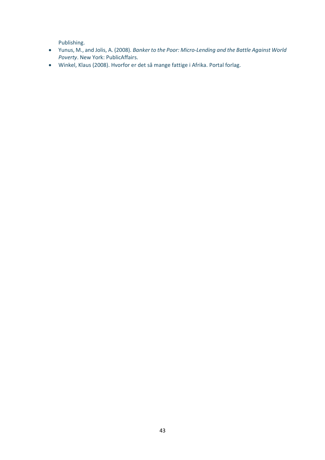Publishing.

- Yunus, M., and Jolis, A. (2008). *Banker to the Poor: Micro-Lending and the Battle Against World Poverty*. New York: PublicAffairs.
- Winkel, Klaus (2008). Hvorfor er det så mange fattige i Afrika. Portal forlag.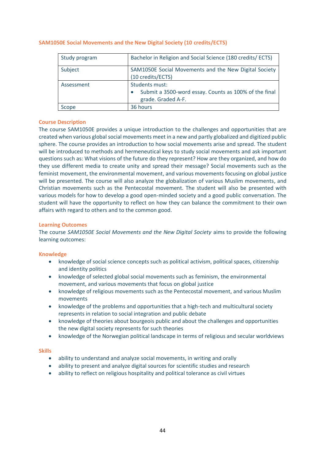| Study program | Bachelor in Religion and Social Science (180 credits/ ECTS)                                   |
|---------------|-----------------------------------------------------------------------------------------------|
| Subject       | SAM1050E Social Movements and the New Digital Society<br>(10 credits/ECTS)                    |
| Assessment    | Students must:<br>Submit a 3500-word essay. Counts as 100% of the final<br>grade. Graded A-F. |
| Scope         | 36 hours                                                                                      |

#### <span id="page-43-0"></span>**SAM1050E Social Movements and the New Digital Society (10 credits/ECTS)**

#### **Course Description**

The course SAM1050E provides a unique introduction to the challenges and opportunities that are created when various global social movements meet in a new and partly globalized and digitized public sphere. The course provides an introduction to how social movements arise and spread. The student will be introduced to methods and hermeneutical keys to study social movements and ask important questions such as: What visions of the future do they represent? How are they organized, and how do they use different media to create unity and spread their message? Social movements such as the feminist movement, the environmental movement, and various movements focusing on global justice will be presented. The course will also analyze the globalization of various Muslim movements, and Christian movements such as the Pentecostal movement. The student will also be presented with various models for how to develop a good open-minded society and a good public conversation. The student will have the opportunity to reflect on how they can balance the commitment to their own affairs with regard to others and to the common good.

#### **Learning Outcomes**

The course *SAM1050E Social Movements and the New Digital Society* aims to provide the following learning outcomes:

# **Knowledge**

- knowledge of social science concepts such as political activism, political spaces, citizenship and identity politics
- knowledge of selected global social movements such as feminism, the environmental movement, and various movements that focus on global justice
- knowledge of religious movements such as the Pentecostal movement, and various Muslim movements
- knowledge of the problems and opportunities that a high-tech and multicultural society represents in relation to social integration and public debate
- knowledge of theories about bourgeois public and about the challenges and opportunities the new digital society represents for such theories
- knowledge of the Norwegian political landscape in terms of religious and secular worldviews

#### **Skills**

- ability to understand and analyze social movements, in writing and orally
- ability to present and analyze digital sources for scientific studies and research
- ability to reflect on religious hospitality and political tolerance as civil virtues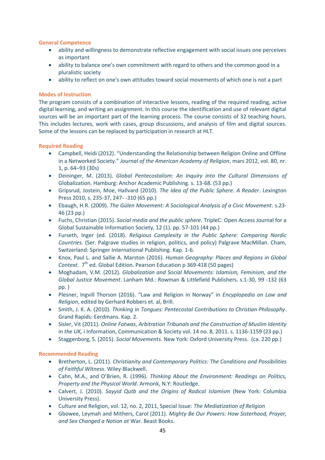# **General Competence**

- ability and willingness to demonstrate reflective engagement with social issues one perceives as important
- ability to balance one's own commitment with regard to others and the common good in a pluralistic society
- ability to reflect on one's own attitudes toward social movements of which one is not a part

# **Modes of Instruction**

The program consists of a combination of interactive lessons, reading of the required reading, active digital learning, and writing an assignment. In this course the identification and use of relevant digital sources will be an important part of the learning process. The course consists of 32 teaching hours. This includes lectures, work with cases, group discussions, and analysis of film and digital sources. Some of the lessons can be replaced by participation in research at HLT.

# **Required Reading**

- Campbell, Heidi (2012). "Understanding the Relationship between Religion Online and Offline in a Networked Society." *Journal of the American Academy of Religion*, mars 2012, vol. 80, nr. 1, p. 64–93 (30s)
- Deininger, M. (2013). *Global Pentecostalism: An Inquiry into the Cultural Dimensions of*  Globalization. Hamburg: Anchor Academic Publishing. s. 13-68. (53 pp.)
- Gripsrud, Jostein, Moe, Hallvard (2010). *The Idea of the Public Sphere. A Reader*. Lexington Press 2010, s. 235-37, 247- -310 (65 pp.)
- Ebaugh, H.R. (2009). *The Gülen Movement: A Sociological Analysis of a Civic Movement*. s.23- 46 (23 pp.)
- Fuchs, Christian (2015). *Social media and the public sphere.* TripleC: Open Access Journal for a Global Sustainable Information Society, 12 (1). pp. 57-101 (44 pp.)
- Furseth, Inger (ed. (2018). *Religious Complexity in the Public Sphere: Comparing Nordic Countries*. (Ser. Palgrave studies in religion, politics, and policy) Palgrave MacMillan. Cham, Switzerland: Springer International Publishing. Kap. 1-6.
- Knox, Paul L. and Sallie A. Marston (2016). *Human Geography: Places and Regions in Global Context.* 7<sup>th</sup> ed. Global Edition. Pearson Education p 369-418 (50 pages)
- Moghadam, V.M. (2012). *Globalization and Social Movements: Islamism, Feminism, and the Global Justice Movement*. Lanham Md.: Rowman & Littlefield Publishers. s.1-30, 99 -132 (63 pp. )
- Plesner, Ingvill Thorson (2016). "Law and Religion in Norway" in *Encyplopedia on Law and Religion*, edited by Gerhard Robbers et. al, Brill.
- Smith, J. K. A. (2010). *Thinking in Tongues: Pentecostal Contributions to Christian Philosophy*. Grand Rapids: Eerdmans. Kap. 2.
- Sisler, Vit (2011). *Online Fatwas*, *Arbitration Tribunals and the Construction of Muslim Identity* in *the UK,* i Information, Communication & Society vol. 14 no. 8, 2011. s. 1136-1159 (23 pp.)
- Staggenborg, S. (2015). *Social Movements.* New York: Oxford University Press. (ca. 220 pp.)

# **Recommended Reading**

- Bretherton, L. (2011). *Christianity and Contemporary Politics: The Conditions and Possibilities of Faithful Witness*. Wiley-Blackwell.
- Cahn, M.A., and O'Brien, R. (1996). *Thinking About the Environment: Readings on Politics, Property and the Physical World*. Armonk, N.Y: Routledge.
- Calvert, J. (2010). *Sayyid Qutb and the Origins of Radical Islamism* (New York: Columbia University Press).
- Culture and Religion, vol. 12, no. 2, 2011, Special Issue: *The Mediatization of Religion*
- Gbowee, Leymah and Mithers, Carol (2011). *Mighty Be Our Powers: How Sisterhood, Prayer, and Sex Changed a Nation at* War. Beast Books.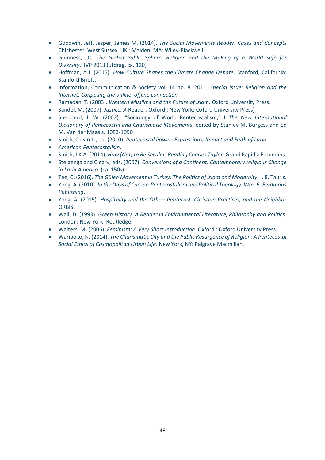- Goodwin, Jeff, Jasper, James M. (2014). *The Social Movements Reader: Cases and Concepts* Chichester, West Sussex, UK ; Malden, MA: Wiley-Blackwell.
- Guinness, Os. *The Global Public Sphere. Religion and the Making of a World Safe for Diversity*. IVP 2013 (utdrag, ca. 120)
- Hoffman, A.J. (2015). *How Culture Shapes the Climate Change Debate*. Stanford, California: Stanford Briefs.
- Information, Communication & Society vol. 14 no. 8, 2011, *Special Issue: Religion and the Internet: Conpp.ing the online–offline connection*
- Ramadan, T. (2003). *Western Muslims and the Future of Islam.* Oxford University Press.
- Sandel, M. (2007). *Justice: A* Reader. Oxford ; New York: Oxford University Press)
- Shepperd, J. W. (2002). "Sociology of World Pentecostalism," I *The New International Dictionary of Pentecostal and Charismatic Movements*, edited by Stanley M. Burgess and Ed M. Van der Maas s. 1083-1090
- Smith, Calvin L., ed. (2010). *Pentecostal Power: Expressions, Impact and Faith of Latin*
- *American Pentecostalism*.
- Smith, J.K.A. (2014). *How (Not) to Be Secular: Reading Charles Taylor*. Grand Rapids: Eerdmans.
- Steigenga and Cleary, eds. (2007). *Conversions of a Continent: Contemporary religious Change in Latin America*. (ca. 150s)
- Tee, C. (2016). *The Gülen Movement in Turkey: The Politics of Islam and Modernity*. I. B. Tauris.
- Yong, A. (2010). *In the Days of Caesar: Pentecostalism and Political Theology. Wm. B. Eerdmans Publishing*.
- Yong, A. (2015). *Hospitality and the Other: Pentecost, Christian Practices, and the Neighbor* ORBIS.
- Wall, D. (1993). *Green History: A Reader in Environmental Literature, Philosophy and Politics*. London: New York: Routledge.
- Walters, M. (2006). *Feminism: A Very Short Introduction*. Oxford : Oxford University Press.
- Wariboko, N. (2014). *The Charismatic City and the Public Resurgence of Religion: A Pentecostal Social Ethics of Cosmopolitan Urban Life*. New York, NY: Palgrave Macmillan.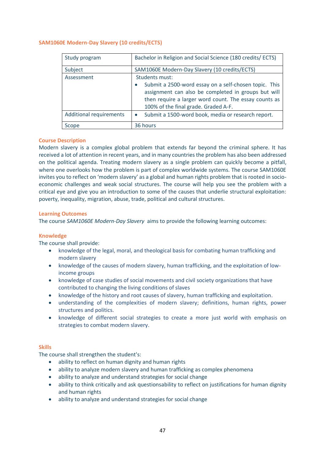# <span id="page-46-0"></span>**SAM1060E Modern-Day Slavery (10 credits/ECTS)**

| Study program                  | Bachelor in Religion and Social Science (180 credits/ ECTS)                                                                                                                                                   |
|--------------------------------|---------------------------------------------------------------------------------------------------------------------------------------------------------------------------------------------------------------|
| Subject                        | SAM1060E Modern-Day Slavery (10 credits/ECTS)                                                                                                                                                                 |
| Assessment                     | Students must:                                                                                                                                                                                                |
|                                | Submit a 2500-word essay on a self-chosen topic. This<br>assignment can also be completed in groups but will<br>then require a larger word count. The essay counts as<br>100% of the final grade. Graded A-F. |
| <b>Additional requirements</b> | Submit a 1500-word book, media or research report.<br>$\bullet$                                                                                                                                               |
| Scope                          | 36 hours                                                                                                                                                                                                      |

# **Course Description**

Modern slavery is a complex global problem that extends far beyond the criminal sphere. It has received a lot of attention in recent years, and in many countries the problem has also been addressed on the political agenda. Treating modern slavery as a single problem can quickly become a pitfall, where one overlooks how the problem is part of complex worldwide systems. The course SAM1060E invites you to reflect on 'modern slavery' as a global and human rights problem that is rooted in socioeconomic challenges and weak social structures. The course will help you see the problem with a critical eye and give you an introduction to some of the causes that underlie structural exploitation: poverty, inequality, migration, abuse, trade, political and cultural structures.

# **Learning Outcomes**

The course *SAM1060E Modern-Day Slavery* aims to provide the following learning outcomes:

# **Knowledge**

The course shall provide:

- knowledge of the legal, moral, and theological basis for combating human trafficking and modern slavery
- knowledge of the causes of modern slavery, human trafficking, and the exploitation of lowincome groups
- knowledge of case studies of social movements and civil society organizations that have contributed to changing the living conditions of slaves
- knowledge of the history and root causes of slavery, human trafficking and exploitation.
- understanding of the complexities of modern slavery; definitions, human rights, power structures and politics.
- knowledge of different social strategies to create a more just world with emphasis on strategies to combat modern slavery.

# **Skills**

The course shall strengthen the student's:

- ability to reflect on human dignity and human rights
- ability to analyze modern slavery and human trafficking as complex phenomena
- ability to analyze and understand strategies for social change
- ability to think critically and ask questionsability to reflect on justifications for human dignity and human rights
- ability to analyze and understand strategies for social change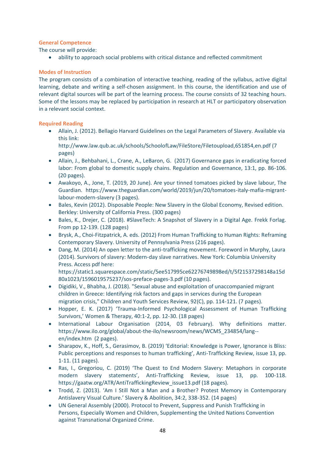# **General Competence**

The course will provide:

• ability to approach social problems with critical distance and reflected commitment

# **Modes of Instruction**

The program consists of a combination of interactive teaching, reading of the syllabus, active digital learning, debate and writing a self-chosen assignment. In this course, the identification and use of relevant digital sources will be part of the learning process. The course consists of 32 teaching hours. Some of the lessons may be replaced by participation in research at HLT or participatory observation in a relevant social context.

# **Required Reading**

• Allain, J. (2012). Bellagio Harvard Guidelines on the Legal Parameters of Slavery. Available via this link:

http://www.law.qub.ac.uk/schools/SchoolofLaw/FileStore/Filetoupload,651854,en.pdf (7 pages)

- Allain, J., Behbahani, L., Crane, A., LeBaron, G. (2017) Governance gaps in eradicating forced labor: From global to domestic supply chains. Regulation and Governance, 13:1, pp. 86-106. (20 pages).
- Awakoyo, A., Jone, T. (2019, 20 June). Are your tinned tomatoes picked by slave labour, The Guardian. https://www.theguardian.com/world/2019/jun/20/tomatoes-italy-mafia-migrantlabour-modern-slavery (3 pages).
- Bales, Kevin (2012). Disposable People: New Slavery in the Global Economy, Revised edition. Berkley: University of California Press. (300 pages)
- Bales, K., Drejer, C. (2018). #SlaveTech: A Snapshot of Slavery in a Digital Age. Frekk Forlag. From pp 12-139. (128 pages)
- Brysk, A., Choi-Fitzpatrick, A. eds. (2012) From Human Trafficking to Human Rights: Reframing Contemporary Slavery. University of Pennsylvania Press (216 pages).
- Dang, M. (2014) An open letter to the anti-trafficking movement. Foreword in Murphy, Laura (2014). Survivors of slavery: Modern-day slave narratives. New York: Columbia University Press. Access pdf here:

https://static1.squarespace.com/static/5ee517995ce62276749898ed/t/5f21537298148a15d 80a1023/1596019575237/sos-preface-pages-3.pdf (10 pages).

- Digidiki, V., Bhabha, J. (2018). "Sexual abuse and exploitation of unaccompanied migrant children in Greece: Identifying risk factors and gaps in services during the European migration crisis," Children and Youth Services Review, 92(C), pp. 114-121. (7 pages).
- Hopper, E. K. (2017) 'Trauma-Informed Psychological Assessment of Human Trafficking Survivors,' Women & Therapy, 40:1-2, pp. 12-30. (18 pages)
- International Labour Organisation (2014, 03 February). Why definitions matter. https://www.ilo.org/global/about-the-ilo/newsroom/news/WCMS\_234854/lang- en/index.htm (2 pages).
- Sharapov, K., Hoff, S., Gerasimov, B. (2019) 'Editorial: Knowledge is Power, Ignorance is Bliss: Public perceptions and responses to human trafficking', Anti-Trafficking Review, issue 13, pp. 1-11. (11 pages).
- Ras, I., Gregoriou, C. (2019) 'The Quest to End Modern Slavery: Metaphors in corporate modern slavery statements', Anti-Trafficking Review, issue 13, pp. 100-118. https://gaatw.org/ATR/AntiTraffickingReview\_issue13.pdf (18 pages).
- Trodd, Z. (2013). 'Am I Still Not a Man and a Brother? Protest Memory in Contemporary Antislavery Visual Culture.' Slavery & Abolition, 34:2, 338-352. (14 pages)
- UN General Assembly (2000). Protocol to Prevent, Suppress and Punish Trafficking in Persons, Especially Women and Children, Supplementing the United Nations Convention against Transnational Organized Crime.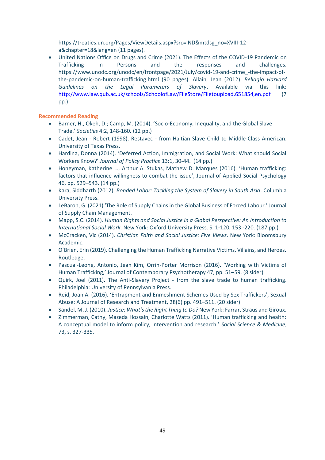https://treaties.un.org/Pages/ViewDetails.aspx?src=IND&mtdsg\_no=XVIII-12 a&chapter=18&lang=en (11 pages).

• United Nations Office on Drugs and Crime (2021). The Effects of the COVID-19 Pandemic on Trafficking in Persons and the responses and challenges. https://www.unodc.org/unodc/en/frontpage/2021/July/covid-19-and-crime\_-the-impact-ofthe-pandemic-on-human-trafficking.html (90 pages). Allain, Jean (2012). *Bellagio Harvard Guidelines on the Legal Parameters of Slavery*. Available via this link: <http://www.law.qub.ac.uk/schools/SchoolofLaw/FileStore/Filetoupload,651854,en.pdf> (7 pp.)

# **Recommended Reading**

- Barner, H., Okeh, D.; Camp, M. (2014). 'Socio-Economy, Inequality, and the Global Slave Trade.' *Societies* 4:2, 148-160. (12 pp.)
- Cadet, Jean Robert (1998). Restavec from Haitian Slave Child to Middle-Class American. University of Texas Press.
- Hardina, Donna (2014). 'Deferred Action, Immigration, and Social Work: What should Social Workers Know?' *Journal of Policy Practice* 13:1, 30-44. (14 pp.)
- Honeyman, Katherine L., Arthur A. Stukas, Mathew D. Marques (2016). 'Human trafficking: factors that influence willingness to combat the issue', Journal of Applied Social Psychology 46, pp. 529–543. (14 pp.)
- Kara, Siddharth (2012). *Bonded Labor: Tackling the System of Slavery in South Asia*. Columbia University Press.
- LeBaron, G. (2021) 'The Role of Supply Chains in the Global Business of Forced Labour.' Journal of Supply Chain Management.
- Mapp, S.C. (2014). *Human Rights and Social Justice in a Global Perspective: An Introduction to International Social Work*. New York: Oxford University Press. S. 1-120, 153 -220. (187 pp.)
- McCracken, Vic (2014). *Christian Faith and Social Justice: Five Views*. New York: Bloomsbury Academic.
- O'Brien, Erin (2019). Challenging the Human Trafficking Narrative Victims, Villains, and Heroes. Routledge.
- Pascual-Leone, Antonio, Jean Kim, Orrin-Porter Morrison (2016). 'Working with Victims of Human Trafficking,' Journal of Contemporary Psychotherapy 47, pp. 51–59. (8 sider)
- Quirk, Joel (2011). The Anti-Slavery Project from the slave trade to human trafficking. Philadelphia: University of Pennsylvania Press.
- Reid, Joan A. (2016). 'Entrapment and Enmeshment Schemes Used by Sex Traffickers', Sexual Abuse: A Journal of Research and Treatment, 28(6) pp. 491–511. (20 sider)
- Sandel, M. J. (2010). *Justice: What's the Right Thing to Do?* New York: Farrar, Straus and Giroux.
- Zimmerman, Cathy, Mazeda Hossain, Charlotte Watts (2011). 'Human trafficking and health: A conceptual model to inform policy, intervention and research.' *Social Science & Medicine*, 73, s. 327-335.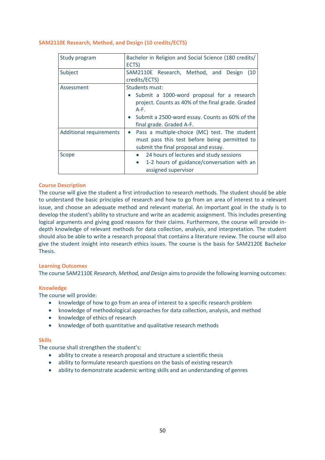# <span id="page-49-0"></span>**SAM2110E Research, Method, and Design (10 credits/ECTS)**

| Study program                  | Bachelor in Religion and Social Science (180 credits/<br>ECTS)                                                                                                                                                       |
|--------------------------------|----------------------------------------------------------------------------------------------------------------------------------------------------------------------------------------------------------------------|
| Subject                        | SAM2110E Research, Method, and<br>Design<br>(10)<br>credits/ECTS)                                                                                                                                                    |
| Assessment                     | Students must:<br>Submit a 1000-word proposal for a research<br>$\bullet$<br>project. Counts as 40% of the final grade. Graded<br>A-F.<br>Submit a 2500-word essay. Counts as 60% of the<br>final grade. Graded A-F. |
| <b>Additional requirements</b> | Pass a multiple-choice (MC) test. The student<br>$\bullet$<br>must pass this test before being permitted to<br>submit the final proposal and essay.                                                                  |
| Scope                          | 24 hours of lectures and study sessions<br>1-2 hours of guidance/conversation with an<br>$\bullet$<br>assigned supervisor                                                                                            |

# **Course Description**

The course will give the student a first introduction to research methods. The student should be able to understand the basic principles of research and how to go from an area of interest to a relevant issue, and choose an adequate method and relevant material. An important goal in the study is to develop the student's ability to structure and write an academic assignment. This includes presenting logical arguments and giving good reasons for their claims. Furthermore, the course will provide indepth knowledge of relevant methods for data collection, analysis, and interpretation. The student should also be able to write a research proposal that contains a literature review. The course will also give the student insight into research ethics issues. The course is the basis for SAM2120E Bachelor Thesis.

# **Learning Outcomes**

The course SAM2110E *Research, Method, and Design* aims to provide the following learning outcomes:

# **Knowledge**

The course will provide:

- knowledge of how to go from an area of interest to a specific research problem
- knowledge of methodological approaches for data collection, analysis, and method
- knowledge of ethics of research
- knowledge of both quantitative and qualitative research methods

#### **Skills**

The course shall strengthen the student's:

- ability to create a research proposal and structure a scientific thesis
- ability to formulate research questions on the basis of existing research
- ability to demonstrate academic writing skills and an understanding of genres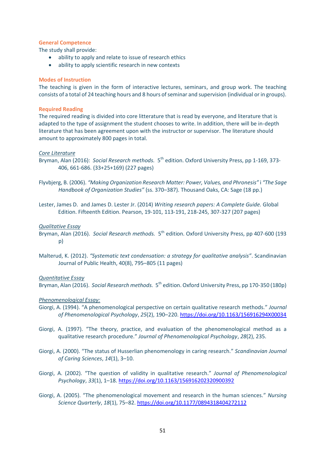#### **General Competence**

The study shall provide:

- ability to apply and relate to issue of research ethics
- ability to apply scientific research in new contexts

#### **Modes of Instruction**

The teaching is given in the form of interactive lectures, seminars, and group work. The teaching consists of a total of 24 teaching hours and 8 hours of seminar and supervision (individual or in groups).

#### **Required Reading**

The required reading is divided into core litterature that is read by everyone, and literature that is adapted to the type of assignment the student chooses to write. In addition, there will be in-depth literature that has been agreement upon with the instructor or supervisor. The literature should amount to approximately 800 pages in total.

#### *Core Literature*

- Bryman, Alan (2016): Social Research methods. 5<sup>th</sup> edition. Oxford University Press, pp 1-169, 373-406, 661-686. (33+25+169) (227 pages)
- Flyvbjerg, B. (2006). *"Making Organization Research Matter: Power, Values, and Phronesis"* i *"The Sage Handbook of Organization Studies"* (ss. 370–387). Thousand Oaks, CA: Sage (18 pp.)
- Lester, James D. and James D. Lester Jr. (2014) *Writing research papers: A Complete Guide.* Global Edition. Fifteenth Edition. Pearson, 19-101, 113-191, 218-245, 307-327 (207 pages)

#### *Qualitative Essay*

- Bryman, Alan (2016). Social Research methods. 5<sup>th</sup> edition. Oxford University Press, pp 407-600 (193 p)
- Malterud, K. (2012). *"Systematic text condensation: a strategy for qualitative analysis"*. Scandinavian Journal of Public Health, 40(8), 795–805 (11 pages)

#### *Quantitative Essay*

Bryman, Alan (2016). Social Research methods. 5<sup>th</sup> edition. Oxford University Press, pp 170-350 (180p)

#### *Phenomenological Essay:*

- Giorgi, A. (1994). "A phenomenological perspective on certain qualitative research methods." *Journal of Phenomenological Psychology*, *25*(2), 190–220[. https://doi.org/10.1163/156916294X00034](https://doi.org/10.1163/156916294X00034)
- Giorgi, A. (1997). "The theory, practice, and evaluation of the phenomenological method as a qualitative research procedure." *Journal of Phenomenological Psychology*, *28*(2), 235.
- Giorgi, A. (2000). "The status of Husserlian phenomenology in caring research." *Scandinavian Journal of Caring Sciences*, *14*(1), 3–10.
- Giorgi, A. (2002). "The question of validity in qualitative research." *Journal of Phenomenological Psychology*, *33*(1), 1–18.<https://doi.org/10.1163/156916202320900392>
- Giorgi, A. (2005). "The phenomenological movement and research in the human sciences." *Nursing Science Quarterly*, *18*(1), 75–82.<https://doi.org/10.1177/0894318404272112>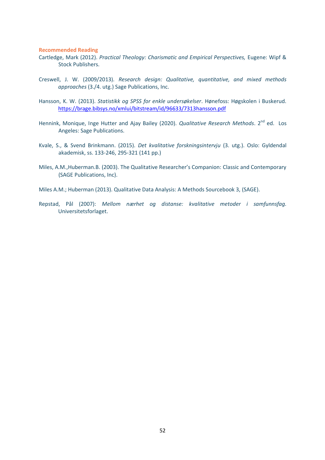#### **Recommended Reading**

- Cartledge, Mark (2012). *Practical Theology: Charismatic and Empirical Perspectives,* Eugene: Wipf & Stock Publishers.
- Creswell, J. W. (2009/2013). *Research design: Qualitative, quantitative, and mixed methods approaches* (3./4. utg.) Sage Publications, Inc.
- Hansson, K. W. (2013). *Statistikk og SPSS for enkle undersøkelser*. Hønefoss: Høgskolen i Buskerud. <https://brage.bibsys.no/xmlui/bitstream/id/96633/7313hansson.pdf>
- Hennink, Monique, Inge Hutter and Ajay Bailey (2020). *Qualitative Research Methods*. 2<sup>nd</sup> ed. Los Angeles: Sage Publications.
- Kvale, S., & Svend Brinkmann. (2015). *Det kvalitative forskningsintervju* (3. utg.). Oslo: Gyldendal akademisk, ss. 133-246, 295-321 (141 pp.)
- Miles, A.M.,Huberman.B. (2003). The Qualitative Researcher's Companion: Classic and Contemporary (SAGE Publications, Inc).
- Miles A.M.; Huberman (2013). Qualitative Data Analysis: A Methods Sourcebook 3, (SAGE).
- Repstad, Pål (2007): *Mellom nærhet og distanse: kvalitative metoder i samfunnsfag.* Universitetsforlaget.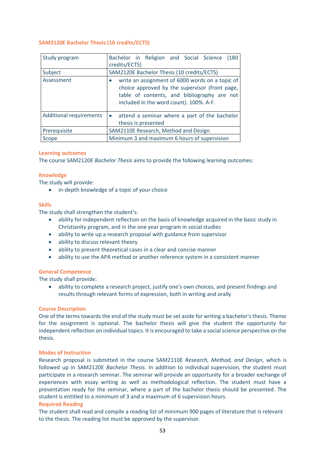# <span id="page-52-0"></span>**SAM2120E Bachelor Thesis (10 credits/ECTS)**

| Study program                  | Bachelor in Religion and Social Science<br>(180)<br>credits/ECTS)                                                                                                                           |
|--------------------------------|---------------------------------------------------------------------------------------------------------------------------------------------------------------------------------------------|
| Subject                        | SAM2120E Bachelor Thesis (10 credits/ECTS)                                                                                                                                                  |
| Assessment                     | write an assignment of 6000 words on a topic of<br>choice approved by the supervisor (front page,<br>table of contents, and bibliography are not<br>included in the word count). 100%. A-F. |
| <b>Additional requirements</b> | attend a seminar where a part of the bachelor<br>$\bullet$<br>thesis is presented                                                                                                           |
| Prerequisite                   | SAM2110E Research, Method and Design                                                                                                                                                        |
| Scope                          | Minimum 3 and maximum 6 hours of supervision                                                                                                                                                |

# **Learning outcomes**

The course SAM2120E *Bachelor Thesis* aims to provide the following learning outcomes:

#### **Knowledge**

The study will provide:

• in-depth knowledge of a topic of your choice

#### **Skills**

The study shall strengthen the student's:

- ability for independent reflection on the basis of knowledge acquired in the basic study in Christianity program, and in the one year program in social studies
- ability to write up a research proposal with guidance from supervisor
- ability to discuss relevant theory
- ability to present theoretical cases in a clear and concise manner
- ability to use the APA method or another reference system in a consistent manner

#### **General Competence**

The study shall provide:

• ability to complete a research project, justify one's own choices, and present findings and results through relevant forms of expression, both in writing and orally

#### **Course Description**

One of the terms towards the end of the study must be set aside for writing a bachelor's thesis. Theme for the assignment is optional. The bachelor thesis will give the student the opportunity for independent reflection on individual topics. It is encouraged to take a social science perspective on the thesis.

#### **Modes of Instruction**

Research proposal is submitted in the course SAM2110E *Research, Method, and Design*, which is followed up in SAM2120E *Bachelor Thesis*. In addition to individual supervision, the student must participate in a research seminar. The seminar will provide an opportunity for a broader exchange of experiences with essay writing as well as methodological reflection. The student must have a presentation ready for the seminar, where a part of the bachelor thesis should be presented. The student is entitled to a minimum of 3 and a maximum of 6 supervision hours.

#### **Required Reading**

The student shall read and compile a reading list of minimum 900 pages of literature that is relevant to the thesis. The reading list must be approved by the supervisor.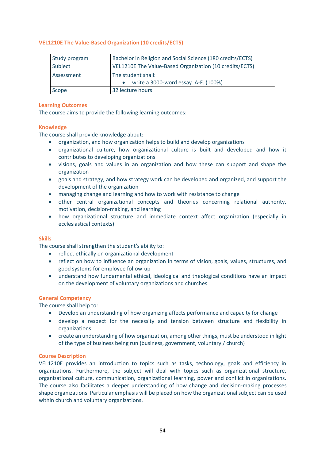# <span id="page-53-0"></span>**VEL1210E The Value-Based Organization (10 credits/ECTS)**

| Study program | Bachelor in Religion and Social Science (180 credits/ECTS) |
|---------------|------------------------------------------------------------|
| Subject       | VEL1210E The Value-Based Organization (10 credits/ECTS)    |
| Assessment    | The student shall:                                         |
|               | write a 3000-word essay. A-F. (100%)                       |
| Scope         | 32 lecture hours                                           |

#### **Learning Outcomes**

The course aims to provide the following learning outcomes:

# **Knowledge**

The course shall provide knowledge about:

- organization, and how organization helps to build and develop organizations
- organizational culture, how organizational culture is built and developed and how it contributes to developing organizations
- visions, goals and values in an organization and how these can support and shape the organization
- goals and strategy, and how strategy work can be developed and organized, and support the development of the organization
- managing change and learning and how to work with resistance to change
- other central organizational concepts and theories concerning relational authority, motivation, decision-making, and learning
- how organizational structure and immediate context affect organization (especially in ecclesiastical contexts)

# **Skills**

The course shall strengthen the student's ability to:

- reflect ethically on organizational development
- reflect on how to influence an organization in terms of vision, goals, values, structures, and good systems for employee follow-up
- understand how fundamental ethical, ideological and theological conditions have an impact on the development of voluntary organizations and churches

# **General Competency**

The course shall help to:

- Develop an understanding of how organizing affects performance and capacity for change
- develop a respect for the necessity and tension between structure and flexibility in organizations
- create an understanding of how organization, among other things, must be understood in light of the type of business being run (business, government, voluntary / church)

# **Course Description**

VEL1210E provides an introduction to topics such as tasks, technology, goals and efficiency in organizations. Furthermore, the subject will deal with topics such as organizational structure, organizational culture, communication, organizational learning, power and conflict in organizations. The course also facilitates a deeper understanding of how change and decision-making processes shape organizations. Particular emphasis will be placed on how the organizational subject can be used within church and voluntary organizations.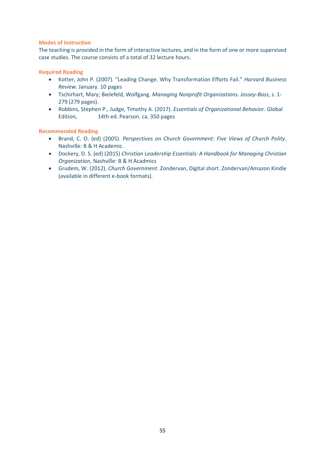# **Modes of Instruction**

The teaching is provided in the form of interactive lectures, and in the form of one or more supervised case studies. The course consists of a total of 32 lecture hours.

# **Required Reading**

- Kotter, John P. (2007). "Leading Change. Why Transformation Efforts Fail." *Harvard Business Review*. January. 10 pages
- Tschirhart, Mary; Bielefeld, Wolfgang. *Managing Nonprofit Organizations. Jossey-Bass*, s. 1- 279 (279 pages).
- Robbins, Stephen P., Judge, Timothy A. (2017). *Essentials of Organizational Behavior*. Global Edition, 14th ed. Pearson. ca. 350 pages

# **Recommended Reading**

- Brand, C. O. (ed) (2005). *Perspectives on Church Government: Five Views of Church Polity*. Nashville: B & H Academic.
- Dockery, D. S. (ed) (2015) *Christian Leadership Essentials: A Handbook for Managing Christian Organization*, Nashville: B & H Acadmics
- Grudem, W. (2012). *Church Government*. Zondervan, Digital short. Zondervan/Amazon Kindle (available in different e-book formats).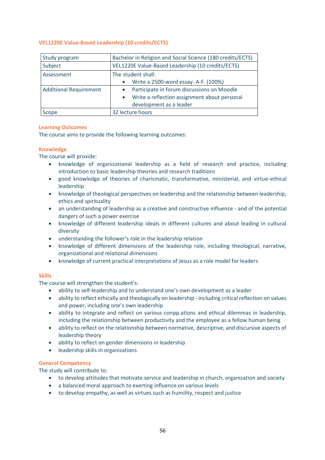# <span id="page-55-0"></span>**VEL1220E Value-Based Leadership (10 credits/ECTS)**

| Study program                 | Bachelor in Religion and Social Science (180 credits/ECTS) |
|-------------------------------|------------------------------------------------------------|
| Subject                       | VEL1220E Value-Based Leadership (10 credits/ECTS)          |
| Assessment                    | The student shall:                                         |
|                               | Write a 2500-word essay. A-F. (100%)<br>$\bullet$          |
| <b>Additional Requirement</b> | Participate in forum discussions on Moodle                 |
|                               | Write a reflection assignment about personal<br>$\bullet$  |
|                               | development as a leader                                    |
| Scope                         | 32 lecture hours                                           |

# **Learning Outcomes**

The course aims to provide the following learning outcomes:

# **Knowledge**

The course will provide:

- knowledge of organizational leadership as a field of research and practice, including introduction to basic leadership theories and research traditions
- good knowledge of theories of charismatic, transformative, ministerial, and virtue-ethical leadership
- knowledge of theological perspectives on leadership and the relationship between leadership, ethics and spirituality
- an understanding of leadership as a creative and constructive influence and of the potential dangers of such a power exercise
- knowledge of different leadership ideals in different cultures and about leading in cultural diversity
- understanding the follower's role in the leadership relation
- knowledge of different dimensions of the leadership role, including theological, narrative, organizational and relational dimensions
- knowledge of current practical interpretations of Jesus as a role model for leaders

# **Skills**

The course will strengthen the student's:

- ability to self-leadership and to understand one's own development as a leader
- ability to reflect ethically and theologically on leadership including critical reflection on values and power, including one's own leadership
- ability to integrate and reflect on various conpp.ations and ethical dilemmas in leadership, including the relationship between productivity and the employee as a fellow human being
- ability to reflect on the relationship between normative, descriptive, and discursive aspects of leadership theory
- ability to reflect on gender dimensions in leadership
- leadership skills in organizations

# **General Competency**

The study will contribute to:

- to develop attitudes that motivate service and leadership in church, organization and society
- a balanced moral approach to exerting influence on various levels
- to develop empathy, as well as virtues such as humility, respect and justice